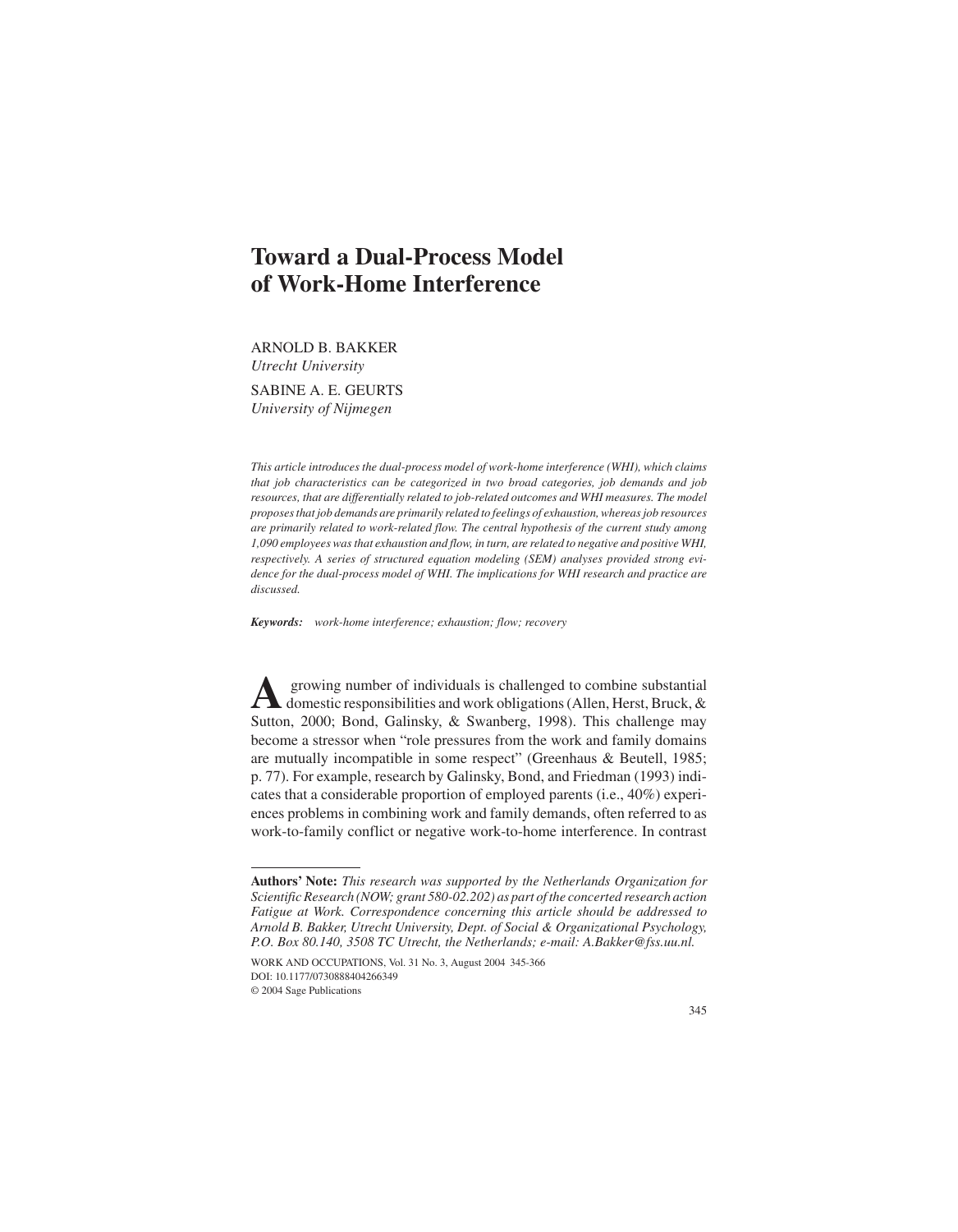# **Toward a Dual-Process Model of Work-Home Interference**

ARNOLD B. BAKKER *Utrecht University*

SABINE A. E. GEURTS *University of Nijmegen*

*This article introduces the dual-process model of work-home interference (WHI), which claims that job characteristics can be categorized in two broad categories, job demands and job resources, that are differentially related to job-related outcomes and WHI measures. The model proposes that job demands are primarily related to feelings of exhaustion, whereas job resources are primarily related to work-related flow. The central hypothesis of the current study among 1,090 employees was that exhaustion and flow, in turn, are related to negative and positive WHI, respectively. A series of structured equation modeling (SEM) analyses provided strong evidence for the dual-process model of WHI. The implications for WHI research and practice are discussed.*

*Keywords: work-home interference; exhaustion; flow; recovery*

**A** growing number of individuals is challenged to combine substantial<br>domestic responsibilities and work obligations (Allen, Herst, Bruck, & Sutton, 2000; Bond, Galinsky, & Swanberg, 1998). This challenge may become a stressor when "role pressures from the work and family domains are mutually incompatible in some respect" (Greenhaus & Beutell, 1985; p. 77). For example, research by Galinsky, Bond, and Friedman (1993) indicates that a considerable proportion of employed parents (i.e., 40%) experiences problems in combining work and family demands, often referred to as work-to-family conflict or negative work-to-home interference. In contrast

**Authors' Note:** *This research was supported by the Netherlands Organization for Scientific Research (NOW; grant 580-02.202) as part of the concerted research action Fatigue at Work. Correspondence concerning this article should be addressed to Arnold B. Bakker, Utrecht University, Dept. of Social & Organizational Psychology, P.O. Box 80.140, 3508 TC Utrecht, the Netherlands; e-mail: A.Bakker@fss.uu.nl.*

WORK AND OCCUPATIONS, Vol. 31 No. 3, August 2004 345-366 DOI: 10.1177/0730888404266349 © 2004 Sage Publications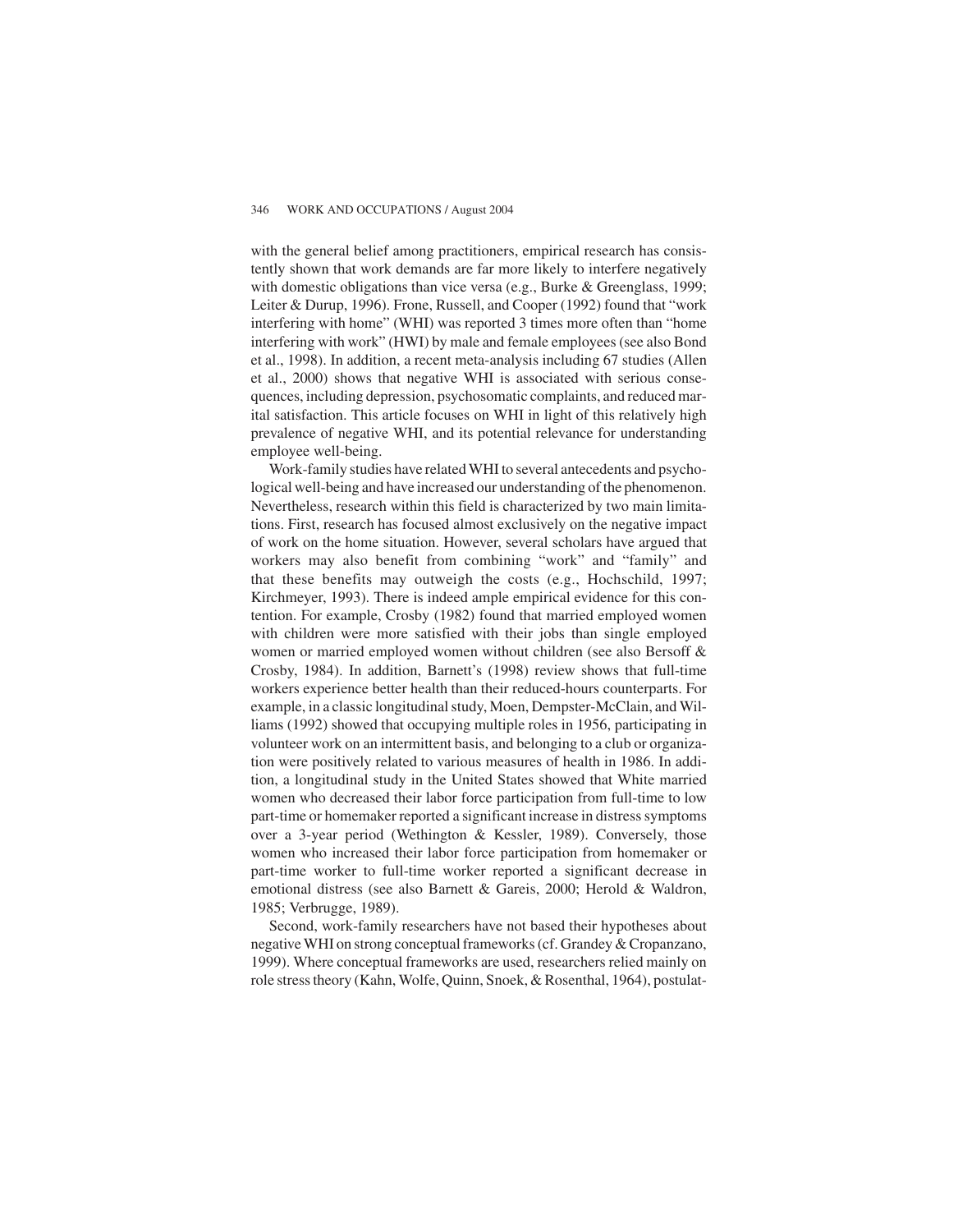with the general belief among practitioners, empirical research has consistently shown that work demands are far more likely to interfere negatively with domestic obligations than vice versa (e.g., Burke & Greenglass, 1999; Leiter & Durup, 1996). Frone, Russell, and Cooper (1992) found that "work interfering with home" (WHI) was reported 3 times more often than "home interfering with work" (HWI) by male and female employees (see also Bond et al., 1998). In addition, a recent meta-analysis including 67 studies (Allen et al., 2000) shows that negative WHI is associated with serious consequences, including depression, psychosomatic complaints, and reduced marital satisfaction. This article focuses on WHI in light of this relatively high prevalence of negative WHI, and its potential relevance for understanding employee well-being.

Work-family studies have related WHI to several antecedents and psychological well-being and have increased our understanding of the phenomenon. Nevertheless, research within this field is characterized by two main limitations. First, research has focused almost exclusively on the negative impact of work on the home situation. However, several scholars have argued that workers may also benefit from combining "work" and "family" and that these benefits may outweigh the costs (e.g., Hochschild, 1997; Kirchmeyer, 1993). There is indeed ample empirical evidence for this contention. For example, Crosby (1982) found that married employed women with children were more satisfied with their jobs than single employed women or married employed women without children (see also Bersoff & Crosby, 1984). In addition, Barnett's (1998) review shows that full-time workers experience better health than their reduced-hours counterparts. For example, in a classic longitudinal study, Moen, Dempster-McClain, and Williams (1992) showed that occupying multiple roles in 1956, participating in volunteer work on an intermittent basis, and belonging to a club or organization were positively related to various measures of health in 1986. In addition, a longitudinal study in the United States showed that White married women who decreased their labor force participation from full-time to low part-time or homemaker reported a significant increase in distress symptoms over a 3-year period (Wethington & Kessler, 1989). Conversely, those women who increased their labor force participation from homemaker or part-time worker to full-time worker reported a significant decrease in emotional distress (see also Barnett & Gareis, 2000; Herold & Waldron, 1985; Verbrugge, 1989).

Second, work-family researchers have not based their hypotheses about negative WHI on strong conceptual frameworks (cf. Grandey & Cropanzano, 1999). Where conceptual frameworks are used, researchers relied mainly on role stress theory (Kahn, Wolfe, Quinn, Snoek, & Rosenthal, 1964), postulat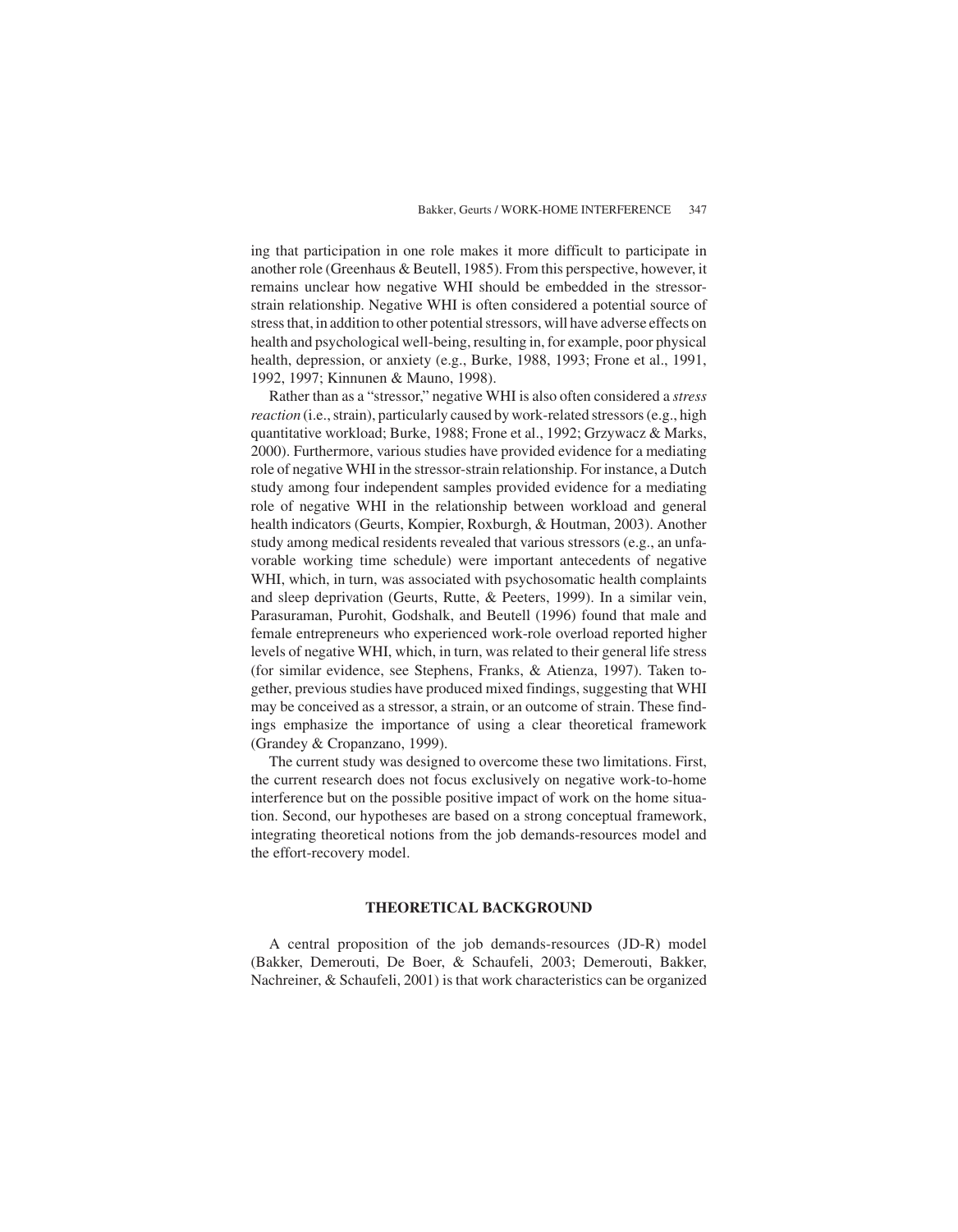ing that participation in one role makes it more difficult to participate in another role (Greenhaus & Beutell, 1985). From this perspective, however, it remains unclear how negative WHI should be embedded in the stressorstrain relationship. Negative WHI is often considered a potential source of stress that, in addition to other potential stressors, will have adverse effects on health and psychological well-being, resulting in, for example, poor physical health, depression, or anxiety (e.g., Burke, 1988, 1993; Frone et al., 1991, 1992, 1997; Kinnunen & Mauno, 1998).

Rather than as a "stressor," negative WHI is also often considered a *stress reaction* (i.e., strain), particularly caused by work-related stressors (e.g., high quantitative workload; Burke, 1988; Frone et al., 1992; Grzywacz & Marks, 2000). Furthermore, various studies have provided evidence for a mediating role of negative WHI in the stressor-strain relationship. For instance, a Dutch study among four independent samples provided evidence for a mediating role of negative WHI in the relationship between workload and general health indicators (Geurts, Kompier, Roxburgh, & Houtman, 2003). Another study among medical residents revealed that various stressors (e.g., an unfavorable working time schedule) were important antecedents of negative WHI, which, in turn, was associated with psychosomatic health complaints and sleep deprivation (Geurts, Rutte, & Peeters, 1999). In a similar vein, Parasuraman, Purohit, Godshalk, and Beutell (1996) found that male and female entrepreneurs who experienced work-role overload reported higher levels of negative WHI, which, in turn, was related to their general life stress (for similar evidence, see Stephens, Franks, & Atienza, 1997). Taken together, previous studies have produced mixed findings, suggesting that WHI may be conceived as a stressor, a strain, or an outcome of strain. These findings emphasize the importance of using a clear theoretical framework (Grandey & Cropanzano, 1999).

The current study was designed to overcome these two limitations. First, the current research does not focus exclusively on negative work-to-home interference but on the possible positive impact of work on the home situation. Second, our hypotheses are based on a strong conceptual framework, integrating theoretical notions from the job demands-resources model and the effort-recovery model.

# **THEORETICAL BACKGROUND**

A central proposition of the job demands-resources (JD-R) model (Bakker, Demerouti, De Boer, & Schaufeli, 2003; Demerouti, Bakker, Nachreiner, & Schaufeli, 2001) is that work characteristics can be organized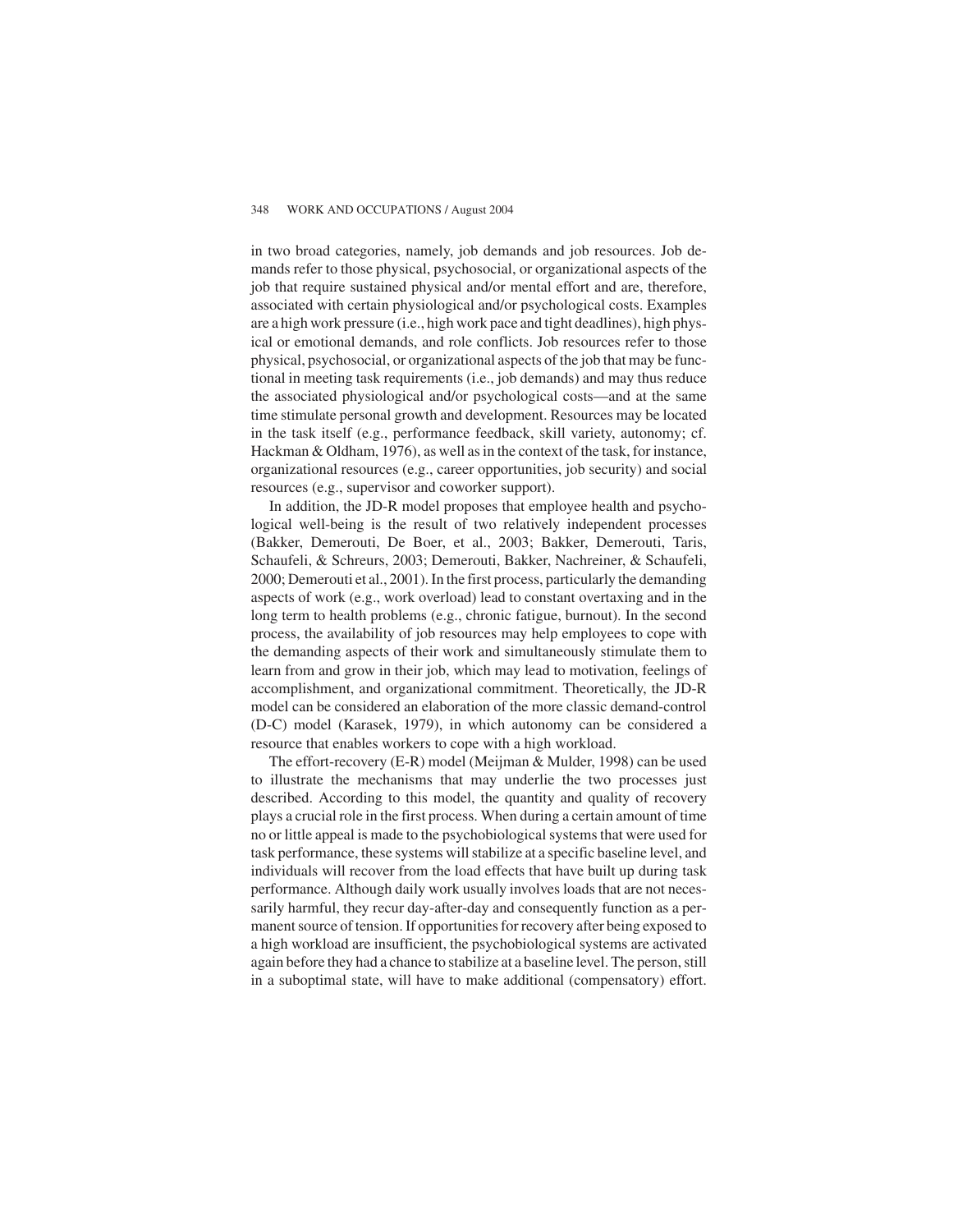in two broad categories, namely, job demands and job resources. Job demands refer to those physical, psychosocial, or organizational aspects of the job that require sustained physical and/or mental effort and are, therefore, associated with certain physiological and/or psychological costs. Examples are a high work pressure (i.e., high work pace and tight deadlines), high physical or emotional demands, and role conflicts. Job resources refer to those physical, psychosocial, or organizational aspects of the job that may be functional in meeting task requirements (i.e., job demands) and may thus reduce the associated physiological and/or psychological costs—and at the same time stimulate personal growth and development. Resources may be located in the task itself (e.g., performance feedback, skill variety, autonomy; cf. Hackman & Oldham, 1976), as well as in the context of the task, for instance, organizational resources (e.g., career opportunities, job security) and social resources (e.g., supervisor and coworker support).

In addition, the JD-R model proposes that employee health and psychological well-being is the result of two relatively independent processes (Bakker, Demerouti, De Boer, et al., 2003; Bakker, Demerouti, Taris, Schaufeli, & Schreurs, 2003; Demerouti, Bakker, Nachreiner, & Schaufeli, 2000; Demerouti et al., 2001). In the first process, particularly the demanding aspects of work (e.g., work overload) lead to constant overtaxing and in the long term to health problems (e.g., chronic fatigue, burnout). In the second process, the availability of job resources may help employees to cope with the demanding aspects of their work and simultaneously stimulate them to learn from and grow in their job, which may lead to motivation, feelings of accomplishment, and organizational commitment. Theoretically, the JD-R model can be considered an elaboration of the more classic demand-control (D-C) model (Karasek, 1979), in which autonomy can be considered a resource that enables workers to cope with a high workload.

The effort-recovery (E-R) model (Meijman & Mulder, 1998) can be used to illustrate the mechanisms that may underlie the two processes just described. According to this model, the quantity and quality of recovery plays a crucial role in the first process. When during a certain amount of time no or little appeal is made to the psychobiological systems that were used for task performance, these systems will stabilize at a specific baseline level, and individuals will recover from the load effects that have built up during task performance. Although daily work usually involves loads that are not necessarily harmful, they recur day-after-day and consequently function as a permanent source of tension. If opportunities for recovery after being exposed to a high workload are insufficient, the psychobiological systems are activated again before they had a chance to stabilize at a baseline level. The person, still in a suboptimal state, will have to make additional (compensatory) effort.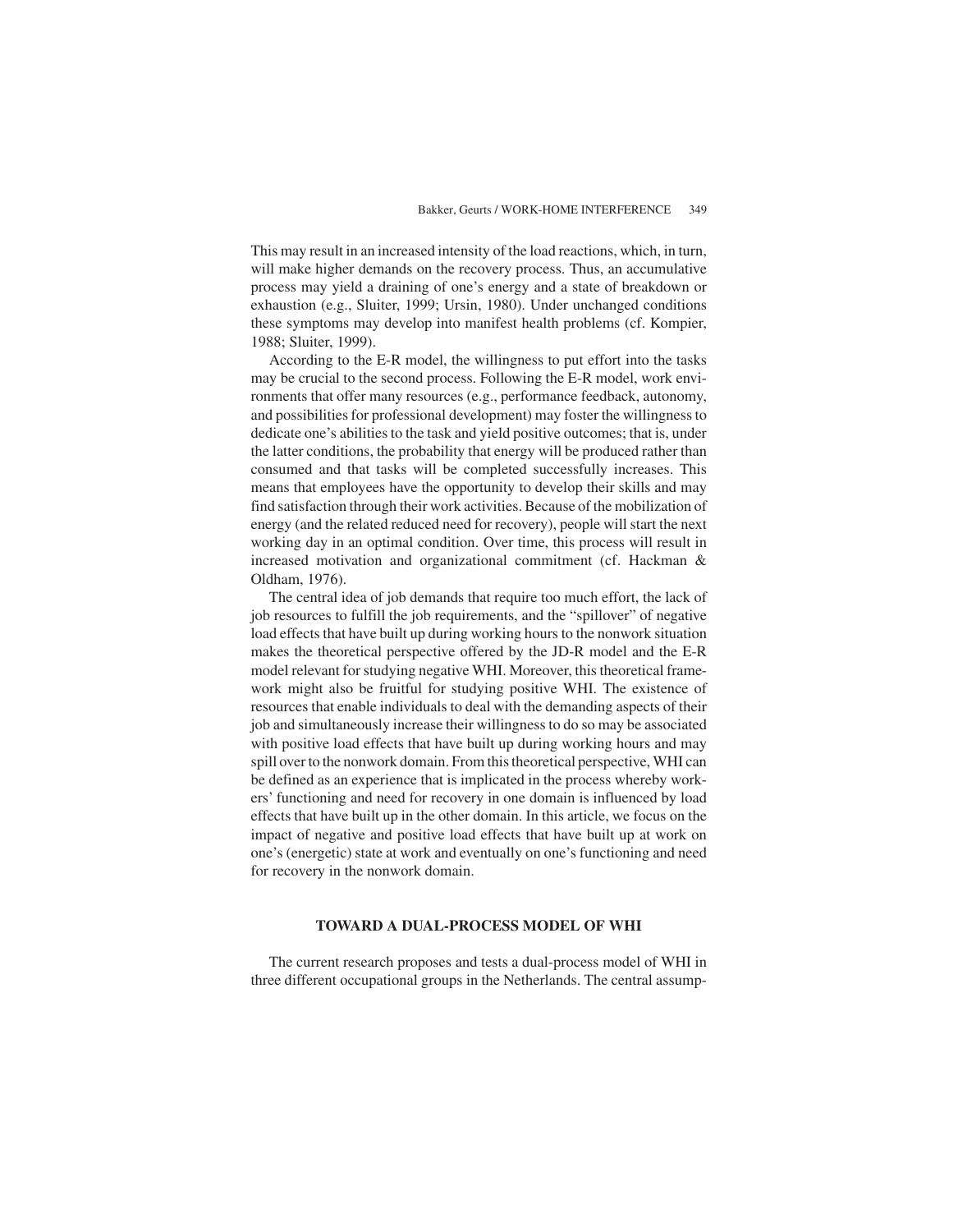This may result in an increased intensity of the load reactions, which, in turn, will make higher demands on the recovery process. Thus, an accumulative process may yield a draining of one's energy and a state of breakdown or exhaustion (e.g., Sluiter, 1999; Ursin, 1980). Under unchanged conditions these symptoms may develop into manifest health problems (cf. Kompier, 1988; Sluiter, 1999).

According to the E-R model, the willingness to put effort into the tasks may be crucial to the second process. Following the E-R model, work environments that offer many resources (e.g., performance feedback, autonomy, and possibilities for professional development) may foster the willingness to dedicate one's abilities to the task and yield positive outcomes; that is, under the latter conditions, the probability that energy will be produced rather than consumed and that tasks will be completed successfully increases. This means that employees have the opportunity to develop their skills and may find satisfaction through their work activities. Because of the mobilization of energy (and the related reduced need for recovery), people will start the next working day in an optimal condition. Over time, this process will result in increased motivation and organizational commitment (cf. Hackman & Oldham, 1976).

The central idea of job demands that require too much effort, the lack of job resources to fulfill the job requirements, and the "spillover" of negative load effects that have built up during working hours to the nonwork situation makes the theoretical perspective offered by the JD-R model and the E-R model relevant for studying negative WHI. Moreover, this theoretical framework might also be fruitful for studying positive WHI. The existence of resources that enable individuals to deal with the demanding aspects of their job and simultaneously increase their willingness to do so may be associated with positive load effects that have built up during working hours and may spill over to the nonwork domain. From this theoretical perspective, WHI can be defined as an experience that is implicated in the process whereby workers' functioning and need for recovery in one domain is influenced by load effects that have built up in the other domain. In this article, we focus on the impact of negative and positive load effects that have built up at work on one's (energetic) state at work and eventually on one's functioning and need for recovery in the nonwork domain.

# **TOWARD A DUAL-PROCESS MODEL OF WHI**

The current research proposes and tests a dual-process model of WHI in three different occupational groups in the Netherlands. The central assump-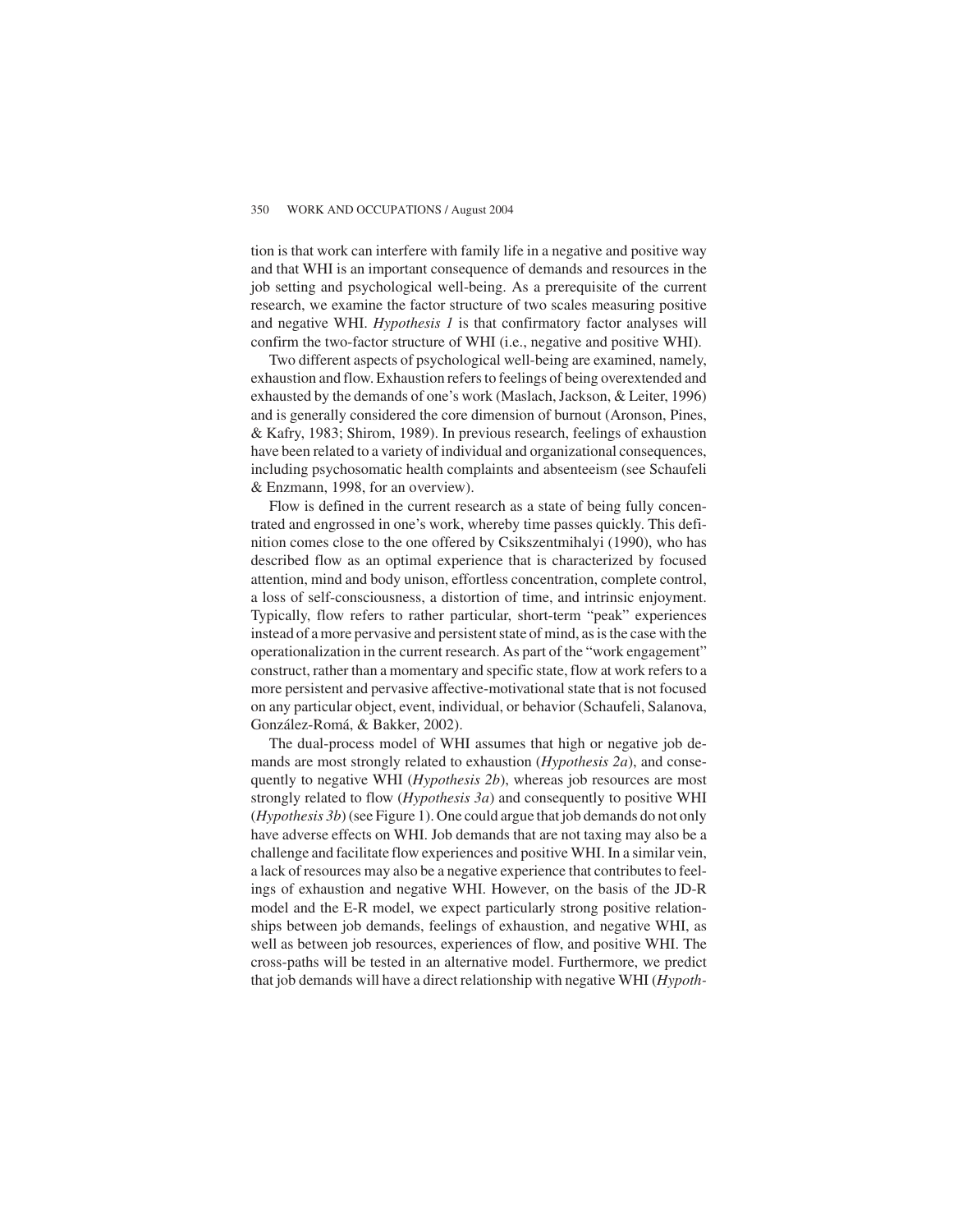tion is that work can interfere with family life in a negative and positive way and that WHI is an important consequence of demands and resources in the job setting and psychological well-being. As a prerequisite of the current research, we examine the factor structure of two scales measuring positive and negative WHI. *Hypothesis 1* is that confirmatory factor analyses will confirm the two-factor structure of WHI (i.e., negative and positive WHI).

Two different aspects of psychological well-being are examined, namely, exhaustion and flow. Exhaustion refers to feelings of being overextended and exhausted by the demands of one's work (Maslach, Jackson, & Leiter, 1996) and is generally considered the core dimension of burnout (Aronson, Pines, & Kafry, 1983; Shirom, 1989). In previous research, feelings of exhaustion have been related to a variety of individual and organizational consequences, including psychosomatic health complaints and absenteeism (see Schaufeli & Enzmann, 1998, for an overview).

Flow is defined in the current research as a state of being fully concentrated and engrossed in one's work, whereby time passes quickly. This definition comes close to the one offered by Csikszentmihalyi (1990), who has described flow as an optimal experience that is characterized by focused attention, mind and body unison, effortless concentration, complete control, a loss of self-consciousness, a distortion of time, and intrinsic enjoyment. Typically, flow refers to rather particular, short-term "peak" experiences instead of a more pervasive and persistent state of mind, as is the case with the operationalization in the current research. As part of the "work engagement" construct, rather than a momentary and specific state, flow at work refers to a more persistent and pervasive affective-motivational state that is not focused on any particular object, event, individual, or behavior (Schaufeli, Salanova, González-Romá, & Bakker, 2002).

The dual-process model of WHI assumes that high or negative job demands are most strongly related to exhaustion (*Hypothesis 2a*), and consequently to negative WHI (*Hypothesis 2b*), whereas job resources are most strongly related to flow (*Hypothesis 3a*) and consequently to positive WHI (*Hypothesis 3b*) (see Figure 1). One could argue that job demands do not only have adverse effects on WHI. Job demands that are not taxing may also be a challenge and facilitate flow experiences and positive WHI. In a similar vein, a lack of resources may also be a negative experience that contributes to feelings of exhaustion and negative WHI. However, on the basis of the JD-R model and the E-R model, we expect particularly strong positive relationships between job demands, feelings of exhaustion, and negative WHI, as well as between job resources, experiences of flow, and positive WHI. The cross-paths will be tested in an alternative model. Furthermore, we predict that job demands will have a direct relationship with negative WHI (*Hypoth-*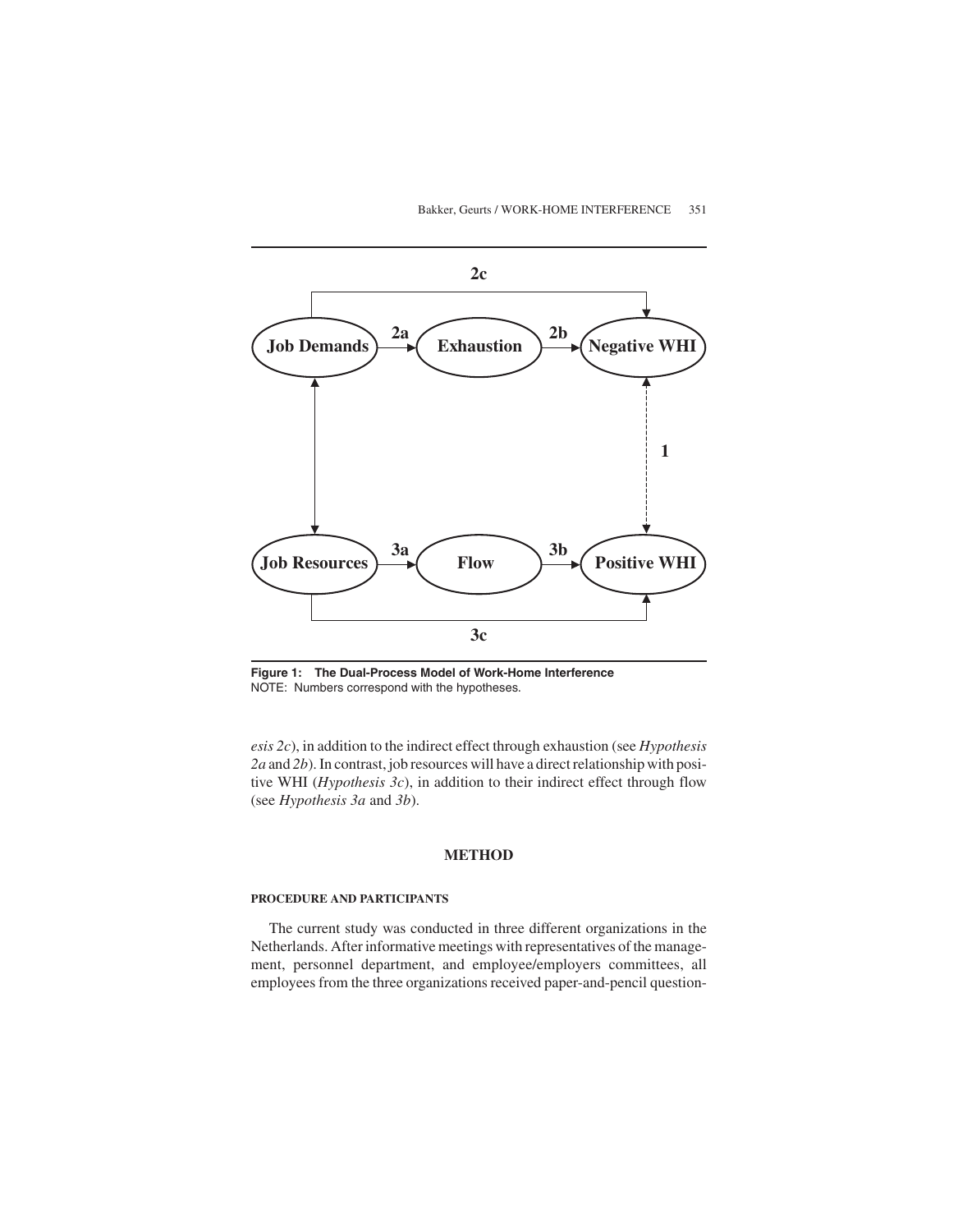

**Figure 1: The Dual-Process Model of Work-Home Interference** NOTE: Numbers correspond with the hypotheses.

*esis 2c*), in addition to the indirect effect through exhaustion (see *Hypothesis 2a* and *2b*). In contrast, job resources will have a direct relationship with positive WHI (*Hypothesis 3c*), in addition to their indirect effect through flow (see *Hypothesis 3a* and *3b*).

# **METHOD**

# **PROCEDURE AND PARTICIPANTS**

The current study was conducted in three different organizations in the Netherlands. After informative meetings with representatives of the management, personnel department, and employee/employers committees, all employees from the three organizations received paper-and-pencil question-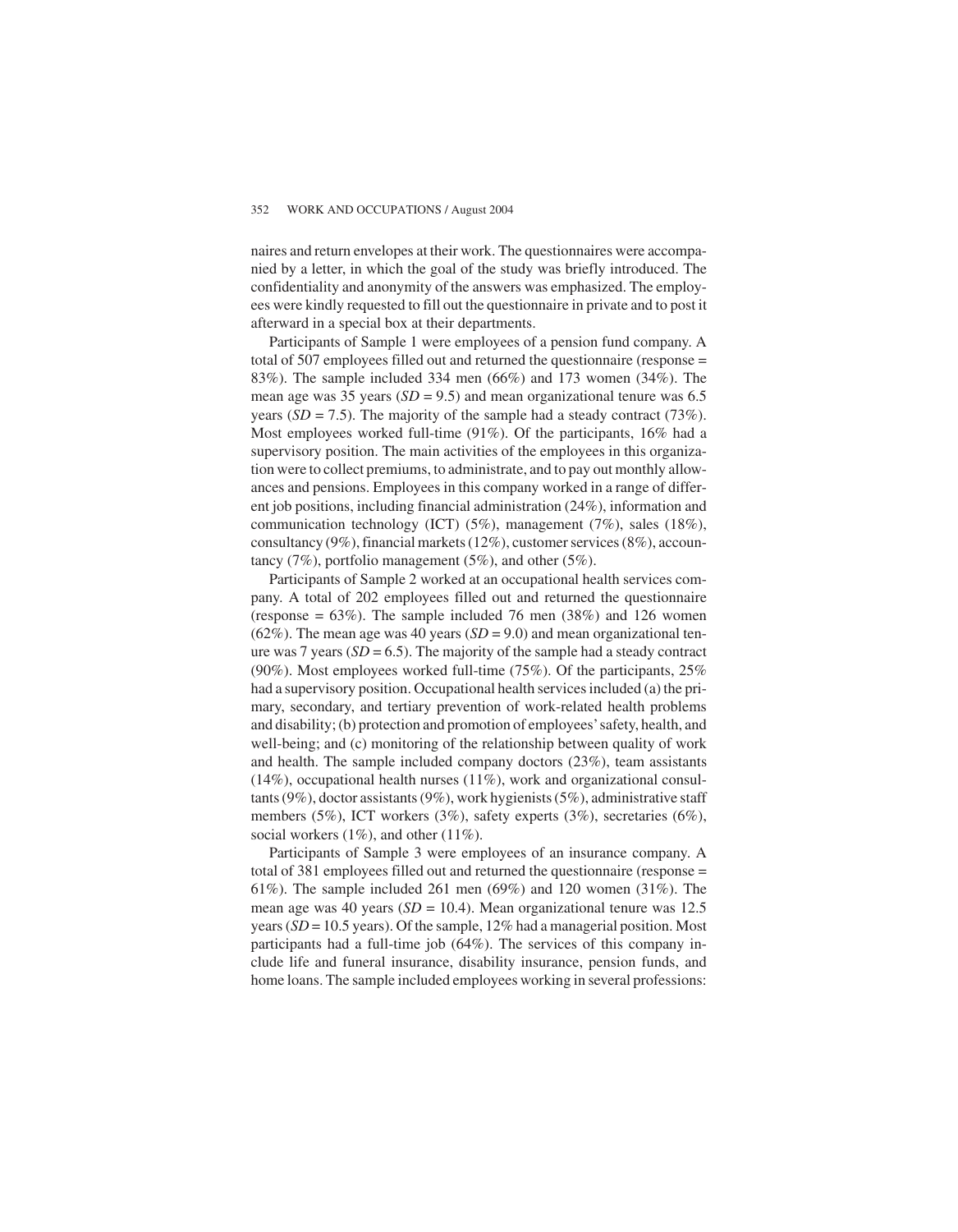naires and return envelopes at their work. The questionnaires were accompanied by a letter, in which the goal of the study was briefly introduced. The confidentiality and anonymity of the answers was emphasized. The employees were kindly requested to fill out the questionnaire in private and to post it afterward in a special box at their departments.

Participants of Sample 1 were employees of a pension fund company. A total of 507 employees filled out and returned the questionnaire (response = 83%). The sample included 334 men (66%) and 173 women (34%). The mean age was 35 years  $(SD = 9.5)$  and mean organizational tenure was 6.5 years ( $SD = 7.5$ ). The majority of the sample had a steady contract (73%). Most employees worked full-time (91%). Of the participants, 16% had a supervisory position. The main activities of the employees in this organization were to collect premiums, to administrate, and to pay out monthly allowances and pensions. Employees in this company worked in a range of different job positions, including financial administration (24%), information and communication technology (ICT) (5%), management (7%), sales (18%), consultancy (9%), financial markets (12%), customer services (8%), accountancy (7%), portfolio management (5%), and other (5%).

Participants of Sample 2 worked at an occupational health services company. A total of 202 employees filled out and returned the questionnaire (response =  $63\%$ ). The sample included 76 men (38%) and 126 women (62%). The mean age was 40 years ( $SD = 9.0$ ) and mean organizational tenure was 7 years  $(SD = 6.5)$ . The majority of the sample had a steady contract (90%). Most employees worked full-time (75%). Of the participants, 25% had a supervisory position. Occupational health services included (a) the primary, secondary, and tertiary prevention of work-related health problems and disability; (b) protection and promotion of employees'safety, health, and well-being; and (c) monitoring of the relationship between quality of work and health. The sample included company doctors (23%), team assistants  $(14\%)$ , occupational health nurses  $(11\%)$ , work and organizational consultants (9%), doctor assistants (9%), work hygienists (5%), administrative staff members (5%), ICT workers (3%), safety experts (3%), secretaries (6%), social workers  $(1\%)$ , and other  $(11\%)$ .

Participants of Sample 3 were employees of an insurance company. A total of 381 employees filled out and returned the questionnaire (response = 61%). The sample included 261 men (69%) and 120 women (31%). The mean age was 40 years  $(SD = 10.4)$ . Mean organizational tenure was 12.5 years (*SD* = 10.5 years). Of the sample, 12% had a managerial position. Most participants had a full-time job (64%). The services of this company include life and funeral insurance, disability insurance, pension funds, and home loans. The sample included employees working in several professions: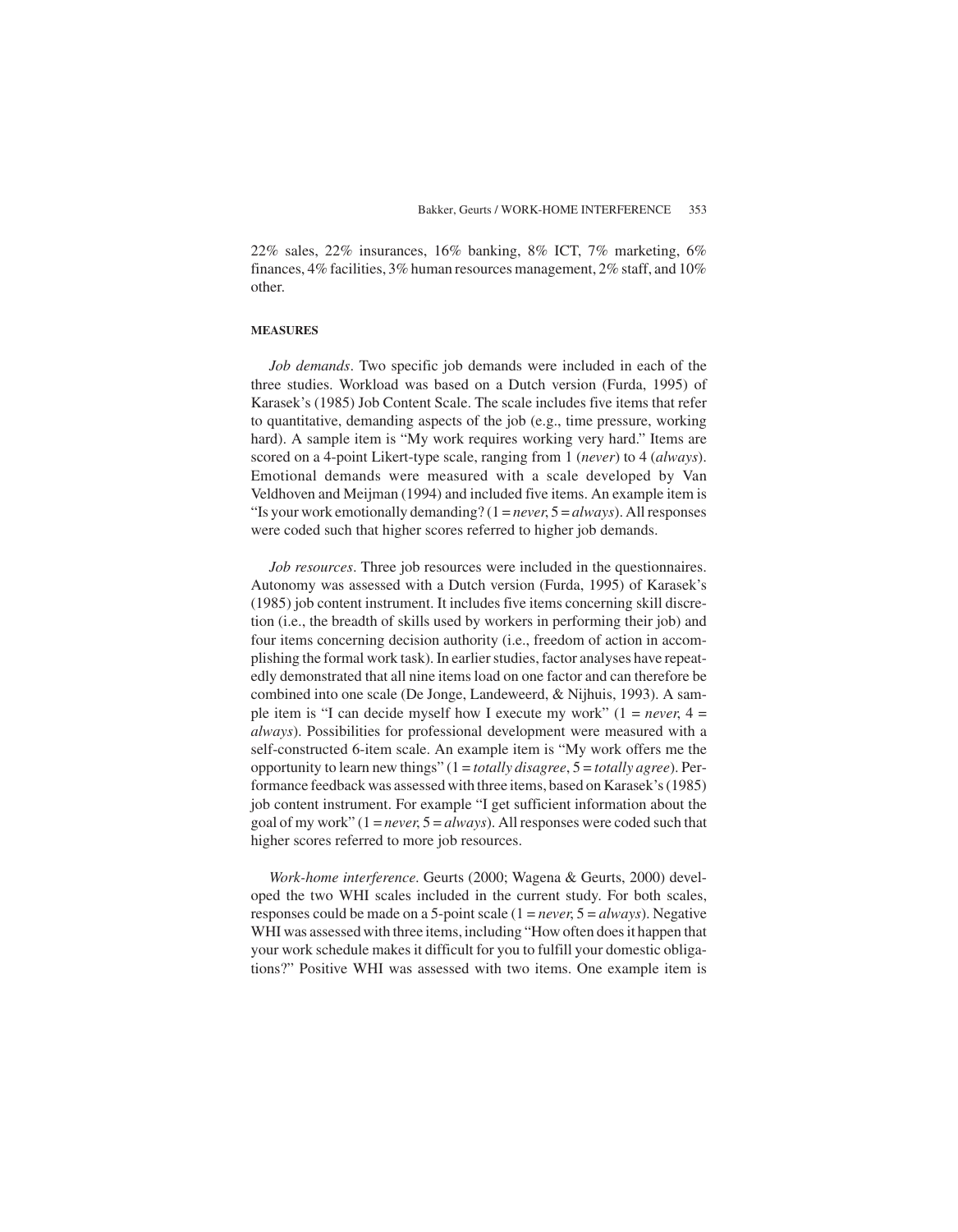22% sales, 22% insurances, 16% banking, 8% ICT, 7% marketing, 6% finances, 4% facilities, 3% human resources management, 2% staff, and 10% other.

# **MEASURES**

*Job demands*. Two specific job demands were included in each of the three studies. Workload was based on a Dutch version (Furda, 1995) of Karasek's (1985) Job Content Scale. The scale includes five items that refer to quantitative, demanding aspects of the job (e.g., time pressure, working hard). A sample item is "My work requires working very hard." Items are scored on a 4-point Likert-type scale, ranging from 1 (*never*) to 4 (*always*). Emotional demands were measured with a scale developed by Van Veldhoven and Meijman (1994) and included five items. An example item is "Is your work emotionally demanding? (1 = *never*,5= *always*). All responses were coded such that higher scores referred to higher job demands.

*Job resources*. Three job resources were included in the questionnaires. Autonomy was assessed with a Dutch version (Furda, 1995) of Karasek's (1985) job content instrument. It includes five items concerning skill discretion (i.e., the breadth of skills used by workers in performing their job) and four items concerning decision authority (i.e., freedom of action in accomplishing the formal work task). In earlier studies, factor analyses have repeatedly demonstrated that all nine items load on one factor and can therefore be combined into one scale (De Jonge, Landeweerd, & Nijhuis, 1993). A sample item is "I can decide myself how I execute my work"  $(1 = never, 4 =$ *always*). Possibilities for professional development were measured with a self-constructed 6-item scale. An example item is "My work offers me the opportunity to learn new things" (1 = *totally disagree*,5= *totally agree*). Performance feedback was assessed with three items, based on Karasek's (1985) job content instrument. For example "I get sufficient information about the goal of my work"  $(1 = never, 5 = always)$ . All responses were coded such that higher scores referred to more job resources.

*Work-home interference*. Geurts (2000; Wagena & Geurts, 2000) developed the two WHI scales included in the current study. For both scales, responses could be made on a 5-point scale (1 = *never*,5= *always*). Negative WHI was assessed with three items, including "How often does it happen that your work schedule makes it difficult for you to fulfill your domestic obligations?" Positive WHI was assessed with two items. One example item is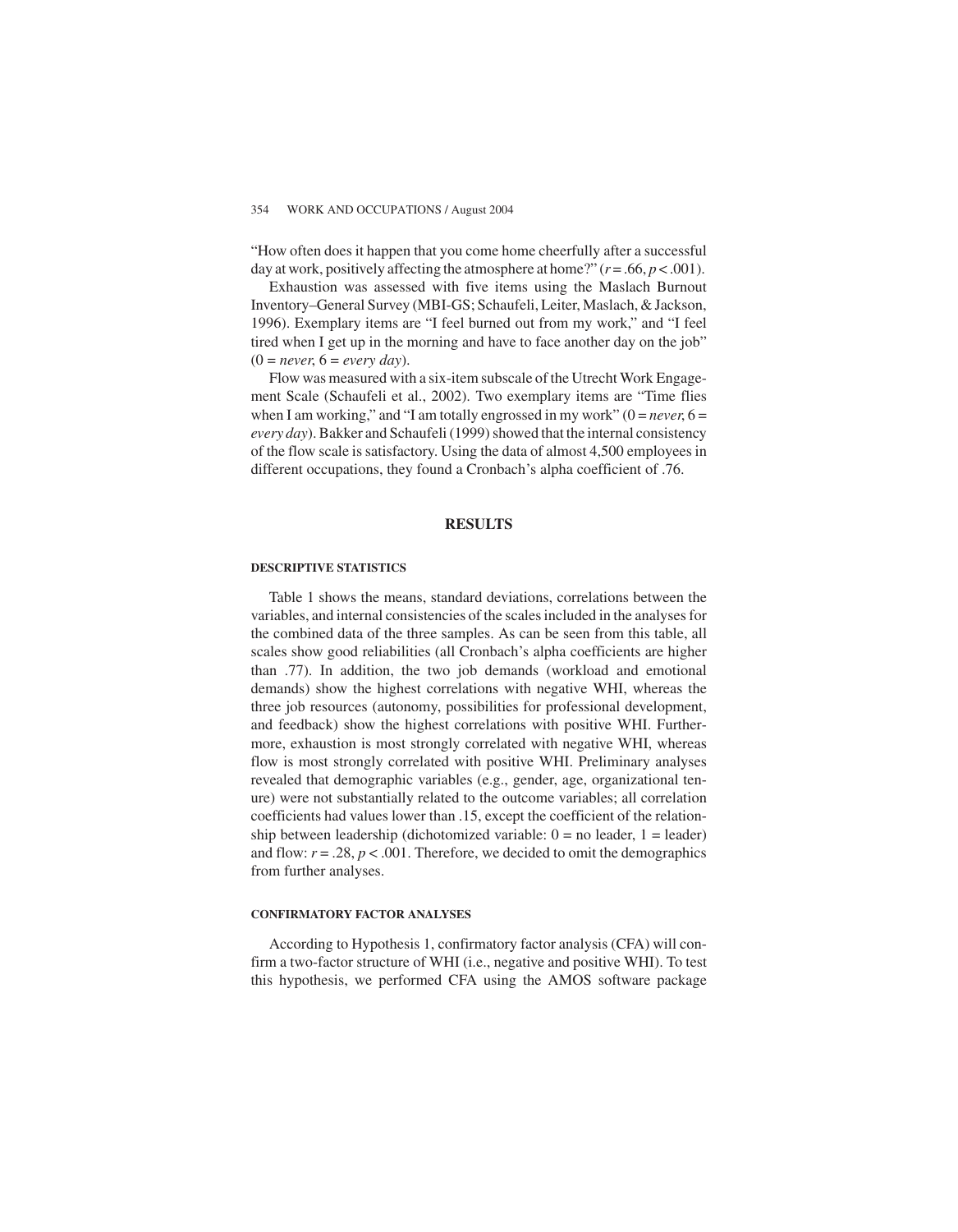"How often does it happen that you come home cheerfully after a successful day at work, positively affecting the atmosphere at home?"  $(r = .66, p < .001)$ .

Exhaustion was assessed with five items using the Maslach Burnout Inventory–General Survey (MBI-GS; Schaufeli, Leiter, Maslach, & Jackson, 1996). Exemplary items are "I feel burned out from my work," and "I feel tired when I get up in the morning and have to face another day on the job"  $(0 = never, 6 = every day).$ 

Flow was measured with a six-item subscale of the Utrecht Work Engagement Scale (Schaufeli et al., 2002). Two exemplary items are "Time flies when I am working," and "I am totally engrossed in my work"  $(0 = never, 6 = 1)$ *every day*). Bakker and Schaufeli (1999) showed that the internal consistency of the flow scale is satisfactory. Using the data of almost 4,500 employees in different occupations, they found a Cronbach's alpha coefficient of .76.

# **RESULTS**

#### **DESCRIPTIVE STATISTICS**

Table 1 shows the means, standard deviations, correlations between the variables, and internal consistencies of the scales included in the analyses for the combined data of the three samples. As can be seen from this table, all scales show good reliabilities (all Cronbach's alpha coefficients are higher than .77). In addition, the two job demands (workload and emotional demands) show the highest correlations with negative WHI, whereas the three job resources (autonomy, possibilities for professional development, and feedback) show the highest correlations with positive WHI. Furthermore, exhaustion is most strongly correlated with negative WHI, whereas flow is most strongly correlated with positive WHI. Preliminary analyses revealed that demographic variables (e.g., gender, age, organizational tenure) were not substantially related to the outcome variables; all correlation coefficients had values lower than .15, except the coefficient of the relationship between leadership (dichotomized variable:  $0 =$  no leader,  $1 =$  leader) and flow:  $r = .28$ ,  $p < .001$ . Therefore, we decided to omit the demographics from further analyses.

## **CONFIRMATORY FACTOR ANALYSES**

According to Hypothesis 1, confirmatory factor analysis (CFA) will confirm a two-factor structure of WHI (i.e., negative and positive WHI). To test this hypothesis, we performed CFA using the AMOS software package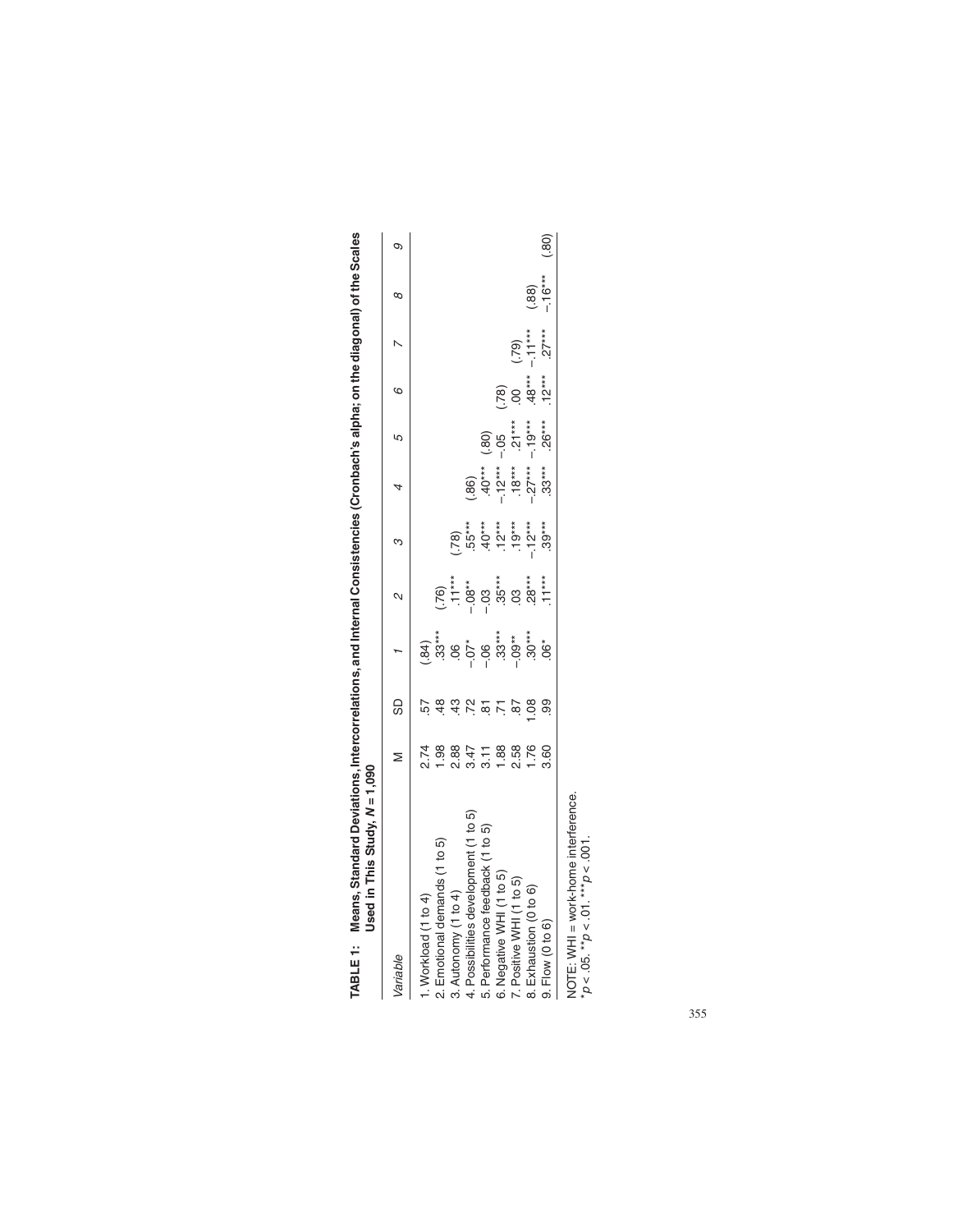| Used in This Study, $N = 1.090$                                                    |              |                                                 |                                                                                                                                                                                                                                           |                                                                                                                                                                                                                                                                                                        |          |          |                                           |             |                   |                     |          |
|------------------------------------------------------------------------------------|--------------|-------------------------------------------------|-------------------------------------------------------------------------------------------------------------------------------------------------------------------------------------------------------------------------------------------|--------------------------------------------------------------------------------------------------------------------------------------------------------------------------------------------------------------------------------------------------------------------------------------------------------|----------|----------|-------------------------------------------|-------------|-------------------|---------------------|----------|
| Variable                                                                           | ⋝            | င္တ                                             |                                                                                                                                                                                                                                           | $\mathcal{L}$                                                                                                                                                                                                                                                                                          | ω        |          | 5                                         | $\circ$     |                   | $\infty$            | $\omega$ |
| 1. Workload (1 to 4)                                                               | 2.74<br>1.98 |                                                 |                                                                                                                                                                                                                                           |                                                                                                                                                                                                                                                                                                        |          |          |                                           |             |                   |                     |          |
| 2. Emotional demands (1 to 5)                                                      |              |                                                 |                                                                                                                                                                                                                                           |                                                                                                                                                                                                                                                                                                        |          |          |                                           |             |                   |                     |          |
| 3. Autonomy (1 to 4)                                                               | 2.88<br>3.47 | $rac{a}{4}$ $rac{a}{5}$ $rac{b}{5}$ $rac{c}{5}$ | $(\frac{1}{3}, \frac{1}{3}, \frac{1}{3})$<br>$(\frac{1}{3}, \frac{1}{3})$<br>$(\frac{1}{3}, \frac{1}{3})$<br>$(\frac{1}{3}, \frac{1}{3})$<br>$(\frac{1}{3}, \frac{1}{3})$<br>$(\frac{1}{3}, \frac{1}{3})$<br>$(\frac{1}{3}, \frac{1}{3})$ | $(76)$<br>$+1$<br>$+1$<br>$-1$<br>$-1$<br>$-1$<br>$-1$<br>$-1$<br>$-1$<br>$-1$<br>$-1$<br>$-1$<br>$-1$<br>$-1$<br>$-1$<br>$-1$<br>$-1$<br>$-1$<br>$-1$<br>$-1$<br>$-1$<br>$-1$<br>$-1$<br>$-1$<br>$-1$<br>$-1$<br>$-1$<br>$-1$<br>$-1$<br>$-1$<br>$-1$<br>$-1$<br>$-1$<br>$-1$<br>$-1$<br>$-1$<br>$-1$ |          |          |                                           |             |                   |                     |          |
| 4. Possibilities development (1 to 5)                                              |              |                                                 |                                                                                                                                                                                                                                           |                                                                                                                                                                                                                                                                                                        |          |          |                                           |             |                   |                     |          |
| 5. Performance feedback (1 to 5)                                                   | 3.11         |                                                 |                                                                                                                                                                                                                                           |                                                                                                                                                                                                                                                                                                        |          |          |                                           |             |                   |                     |          |
| 6. Negative WHI (1 to 5)                                                           | 1.88         |                                                 |                                                                                                                                                                                                                                           |                                                                                                                                                                                                                                                                                                        |          |          |                                           | (78)        |                   |                     |          |
| 7. Positive WHI (1 to 5)                                                           | 2.58         | 87                                              |                                                                                                                                                                                                                                           |                                                                                                                                                                                                                                                                                                        |          |          | $(-.80)$<br>$-05$<br>$-21***$<br>$-19***$ |             |                   |                     |          |
| 8. Exhaustion (0 to 6)                                                             | 1.76         | $\overline{0}$                                  |                                                                                                                                                                                                                                           |                                                                                                                                                                                                                                                                                                        |          |          |                                           | $rac{3}{4}$ | $(-79)$<br>-.11** |                     |          |
| 9. Flow (0 to 6)                                                                   | 3.60         | 99                                              |                                                                                                                                                                                                                                           | $11***$                                                                                                                                                                                                                                                                                                | $.39***$ | $.33***$ | $.26***$                                  | $.12***$    | $.27***$          | $(-88)$<br>$-16***$ | (.80)    |
| NOTE: WHI = work-home interference.<br>$P < 05.$ $\sqrt{p} < 01.$ $\sqrt{p} < 001$ |              |                                                 |                                                                                                                                                                                                                                           |                                                                                                                                                                                                                                                                                                        |          |          |                                           |             |                   |                     |          |

|                    | ֚֚֚֬<br>3<br>l |
|--------------------|----------------|
| $\frac{1}{1}$<br>۱ |                |

355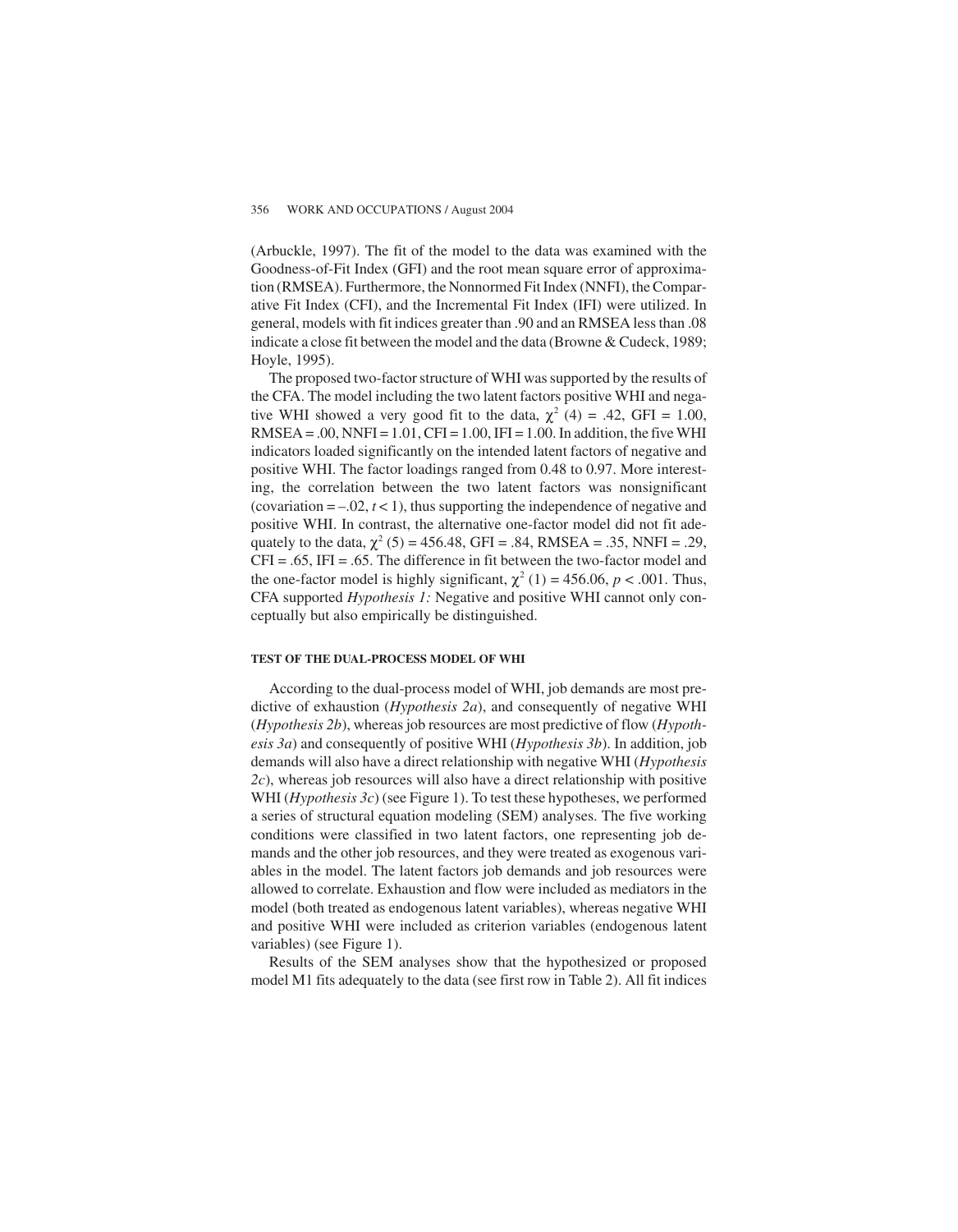(Arbuckle, 1997). The fit of the model to the data was examined with the Goodness-of-Fit Index (GFI) and the root mean square error of approximation (RMSEA). Furthermore, the Nonnormed Fit Index (NNFI), the Comparative Fit Index (CFI), and the Incremental Fit Index (IFI) were utilized. In general, models with fit indices greater than .90 and an RMSEA less than .08 indicate a close fit between the model and the data (Browne & Cudeck, 1989; Hoyle, 1995).

The proposed two-factor structure of WHI was supported by the results of the CFA. The model including the two latent factors positive WHI and negative WHI showed a very good fit to the data,  $\chi^2$  (4) = .42, GFI = 1.00,  $RMSEA = .00$ ,  $NNFI = 1.01$ ,  $CFI = 1.00$ ,  $IFI = 1.00$ . In addition, the five WHI indicators loaded significantly on the intended latent factors of negative and positive WHI. The factor loadings ranged from 0.48 to 0.97. More interesting, the correlation between the two latent factors was nonsignificant (covariation  $=$  –.02,  $t$  < 1), thus supporting the independence of negative and positive WHI. In contrast, the alternative one-factor model did not fit adequately to the data,  $\chi^2$  (5) = 456.48, GFI = .84, RMSEA = .35, NNFI = .29,  $CFI = .65$ , IFI = .65. The difference in fit between the two-factor model and the one-factor model is highly significant,  $\chi^2$  (1) = 456.06, *p* < .001. Thus, CFA supported *Hypothesis 1:* Negative and positive WHI cannot only conceptually but also empirically be distinguished.

#### **TEST OF THE DUAL-PROCESS MODEL OF WHI**

According to the dual-process model of WHI, job demands are most predictive of exhaustion (*Hypothesis 2a*), and consequently of negative WHI (*Hypothesis 2b*), whereas job resources are most predictive of flow (*Hypothesis 3a*) and consequently of positive WHI (*Hypothesis 3b*). In addition, job demands will also have a direct relationship with negative WHI (*Hypothesis 2c*), whereas job resources will also have a direct relationship with positive WHI (*Hypothesis 3c*) (see Figure 1). To test these hypotheses, we performed a series of structural equation modeling (SEM) analyses. The five working conditions were classified in two latent factors, one representing job demands and the other job resources, and they were treated as exogenous variables in the model. The latent factors job demands and job resources were allowed to correlate. Exhaustion and flow were included as mediators in the model (both treated as endogenous latent variables), whereas negative WHI and positive WHI were included as criterion variables (endogenous latent variables) (see Figure 1).

Results of the SEM analyses show that the hypothesized or proposed model M1 fits adequately to the data (see first row in Table 2). All fit indices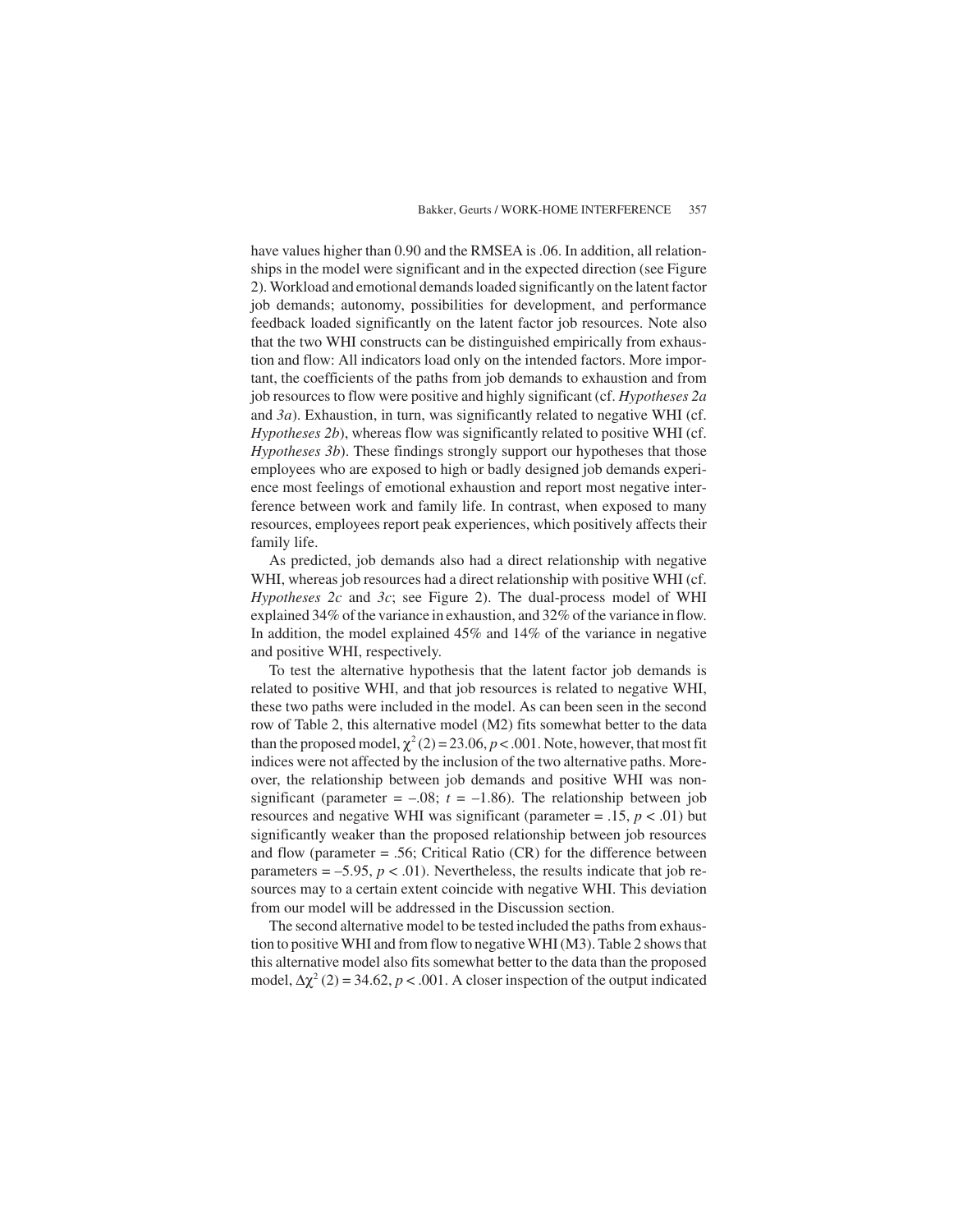have values higher than 0.90 and the RMSEA is .06. In addition, all relationships in the model were significant and in the expected direction (see Figure 2). Workload and emotional demands loaded significantly on the latent factor job demands; autonomy, possibilities for development, and performance feedback loaded significantly on the latent factor job resources. Note also that the two WHI constructs can be distinguished empirically from exhaustion and flow: All indicators load only on the intended factors. More important, the coefficients of the paths from job demands to exhaustion and from job resources to flow were positive and highly significant (cf. *Hypotheses 2a* and *3a*). Exhaustion, in turn, was significantly related to negative WHI (cf. *Hypotheses 2b*), whereas flow was significantly related to positive WHI (cf. *Hypotheses 3b*). These findings strongly support our hypotheses that those employees who are exposed to high or badly designed job demands experience most feelings of emotional exhaustion and report most negative interference between work and family life. In contrast, when exposed to many resources, employees report peak experiences, which positively affects their family life.

As predicted, job demands also had a direct relationship with negative WHI, whereas job resources had a direct relationship with positive WHI (cf. *Hypotheses 2c* and *3c*; see Figure 2). The dual-process model of WHI explained 34% of the variance in exhaustion, and 32% of the variance in flow. In addition, the model explained 45% and 14% of the variance in negative and positive WHI, respectively.

To test the alternative hypothesis that the latent factor job demands is related to positive WHI, and that job resources is related to negative WHI, these two paths were included in the model. As can been seen in the second row of Table 2, this alternative model (M2) fits somewhat better to the data than the proposed model,  $\chi^2(2) = 23.06$ ,  $p < .001$ . Note, however, that most fit indices were not affected by the inclusion of the two alternative paths. Moreover, the relationship between job demands and positive WHI was nonsignificant (parameter  $= -0.08$ ;  $t = -1.86$ ). The relationship between job resources and negative WHI was significant (parameter = .15,  $p < .01$ ) but significantly weaker than the proposed relationship between job resources and flow (parameter  $= .56$ ; Critical Ratio (CR) for the difference between parameters  $= -5.95$ ,  $p < .01$ ). Nevertheless, the results indicate that job resources may to a certain extent coincide with negative WHI. This deviation from our model will be addressed in the Discussion section.

The second alternative model to be tested included the paths from exhaustion to positive WHI and from flow to negative WHI (M3). Table 2 shows that this alternative model also fits somewhat better to the data than the proposed model,  $\Delta \chi^2$  (2) = 34.62, *p* < .001. A closer inspection of the output indicated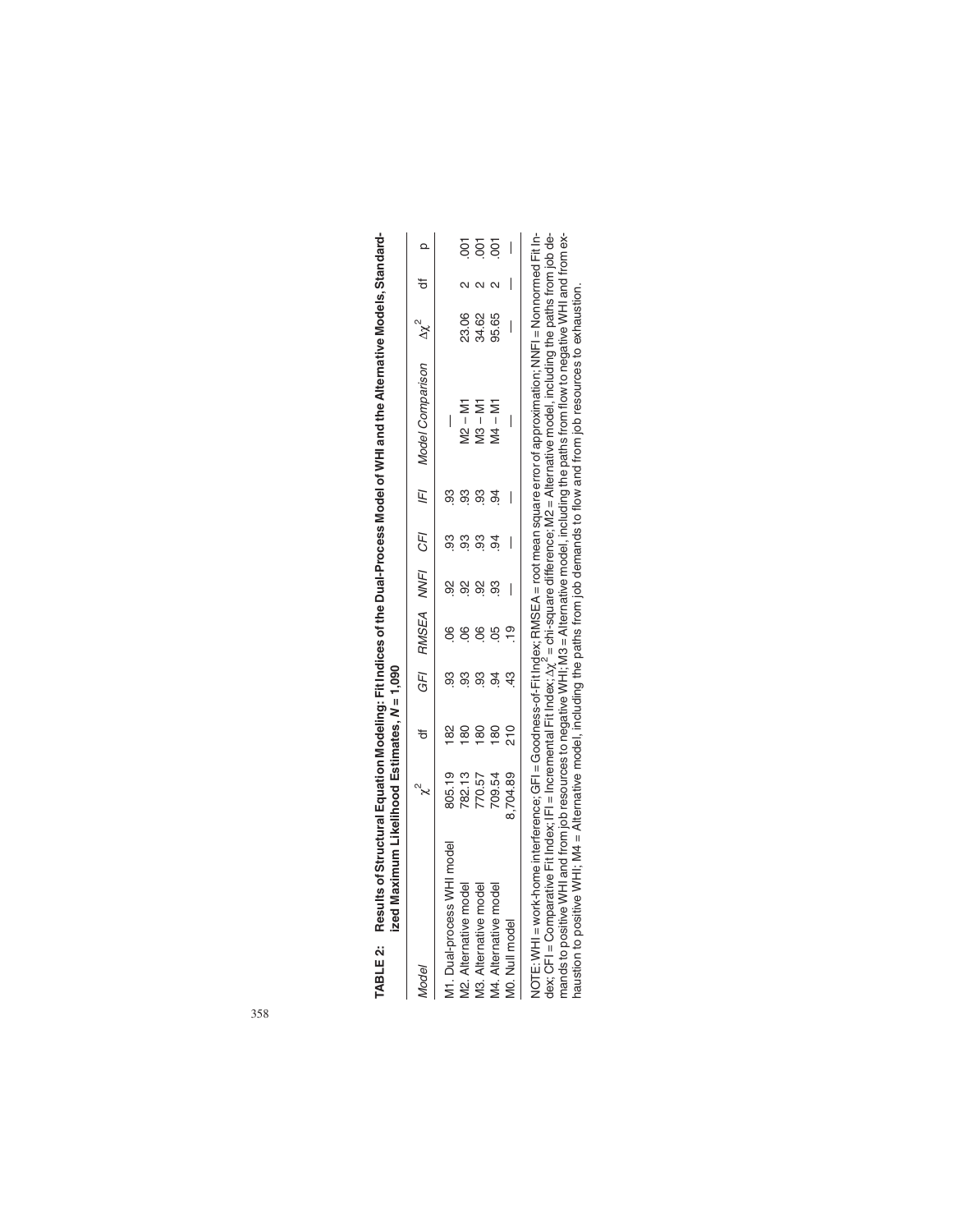| <b>Model</b>               | °×               | ㅎ        | GFI | RMSEA          | NWF/                     | CFI           | FI  | Model Comparison         | $\Delta \chi^2$ |          |
|----------------------------|------------------|----------|-----|----------------|--------------------------|---------------|-----|--------------------------|-----------------|----------|
| M1. Dual-process WHI model | 805.19           | 182      | 93  | $\overline{0}$ | $\overline{9}$           | 36            | 93  | $\overline{\phantom{a}}$ |                 |          |
| M2. Alternative model      | 782.13           | 180      | 3   | $\frac{8}{2}$  | 92                       |               | 93  | $M2 - M1$                | 23.06           |          |
| M3. Alternative model      |                  | $^{180}$ | 33  | 80             | 92                       | ಜ್ರಿ ಜ್ರಿ ತ್ವ | 3 g | $M_3 - I$                | 34.62<br>95.65  | ទី ទី ទី |
| M4. Alternative model      | 770.57<br>709.54 | 180      | 94  | 80             | 93                       |               |     | $MA - M1$                |                 |          |
| MO. Null model             | 1,704.89         | 210      | 43  | $\overline{1}$ | $\overline{\phantom{a}}$ |               |     |                          |                 |          |
|                            |                  |          |     |                |                          |               |     |                          |                 |          |

Results of Structural Equation Modeling: Fit Indices of the Dual-Process Model of WHI and the Alternative Models, Standard-<br>ized Maximum Likelihood Estimates, *N* = 1,090 TABLE 2: Results of Structural Equation Modeling: Fit Indices of the Dual-Process Model of WHI and the Alternative Models, Standard**ized Maximum Likelihood Estimates, N = 1,090** TABLE 2:

NOTE: WHI = work-home interference; GFI = Goodness-of-Fit Index; RMSEA = root mean square error of approximation; NNFI = Nonnormed Fit In-<br>dex; CFI = Comparative Fit Index; IFI = Incremental Fit Index;  $\Delta \chi^2$  = chi-squar NOTE:WHI = work-home interference;GFI = Goodness-of-Fit Index;RMSEA = root mean square error of approximation;NNFI = Nonnormed Fit Index; CFI = Comparative Fit Index; IFI = Incremental Fit Index; ∆χ2 = chi-square difference; M2 = Alternative model, including the paths from job demands to positive WHI and from job resources to negative WHI; M3 = Alternative model, including the paths from flow to negative WHI and from exhaustion to positive WHI; M4 = Alternative model, including the paths from job demands to flow and from job resources to exhaustion.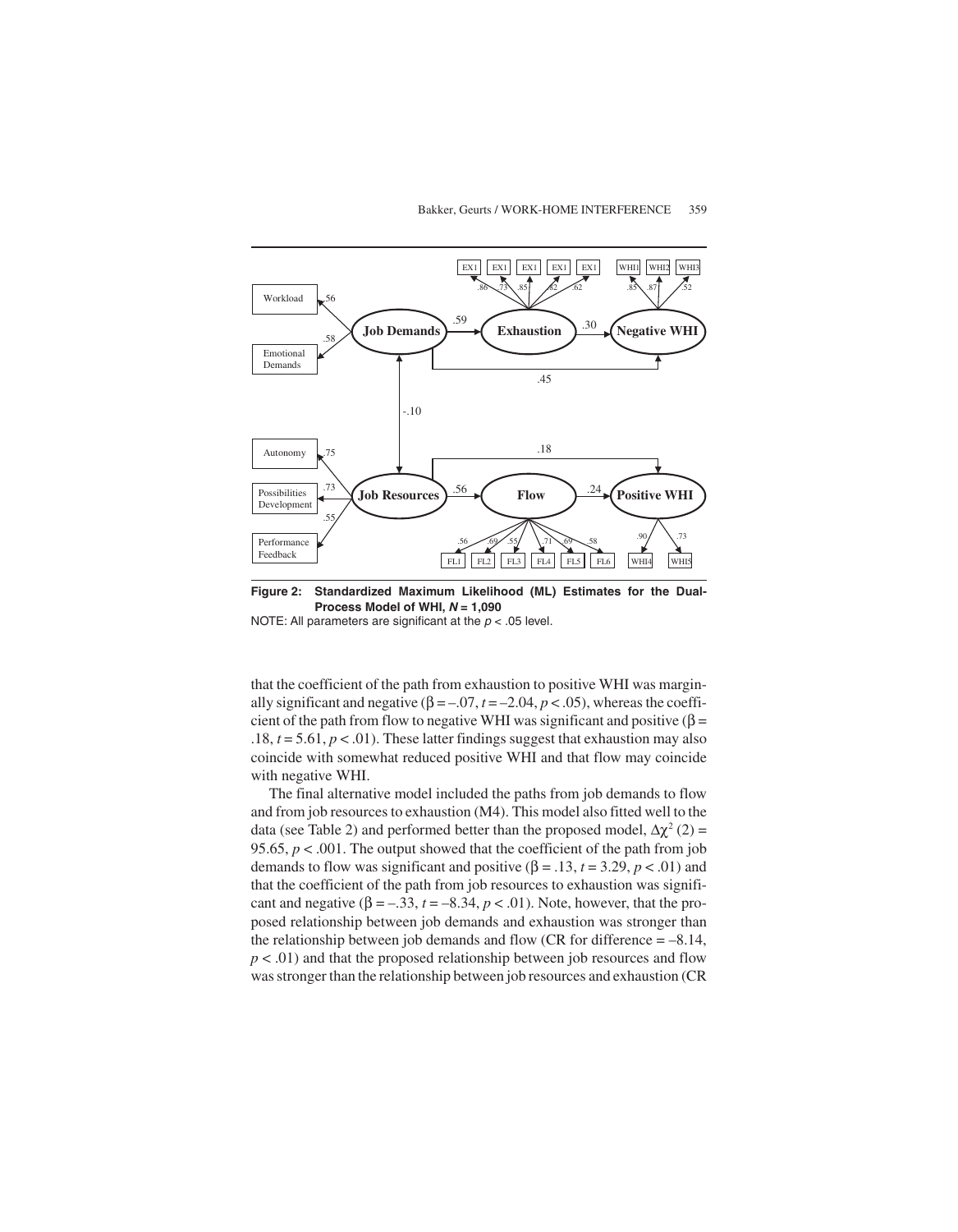

**Figure 2: Standardized Maximum Likelihood (ML) Estimates for the Dual-Process Model of WHI, N = 1,090** NOTE: All parameters are significant at the  $p < .05$  level.

that the coefficient of the path from exhaustion to positive WHI was marginally significant and negative ( $\beta = -.07$ ,  $t = -2.04$ ,  $p < .05$ ), whereas the coefficient of the path from flow to negative WHI was significant and positive ( $\beta$  =  $.18$ ,  $t = 5.61$ ,  $p < .01$ ). These latter findings suggest that exhaustion may also coincide with somewhat reduced positive WHI and that flow may coincide with negative WHI.

The final alternative model included the paths from job demands to flow and from job resources to exhaustion (M4). This model also fitted well to the data (see Table 2) and performed better than the proposed model,  $\Delta \chi^2$  (2) = 95.65,  $p < .001$ . The output showed that the coefficient of the path from job demands to flow was significant and positive  $(\beta = .13, t = 3.29, p < .01)$  and that the coefficient of the path from job resources to exhaustion was significant and negative ( $\beta = -0.33$ ,  $t = -8.34$ ,  $p < 0.01$ ). Note, however, that the proposed relationship between job demands and exhaustion was stronger than the relationship between job demands and flow (CR for difference  $=-8.14$ ,  $p < .01$ ) and that the proposed relationship between job resources and flow was stronger than the relationship between job resources and exhaustion (CR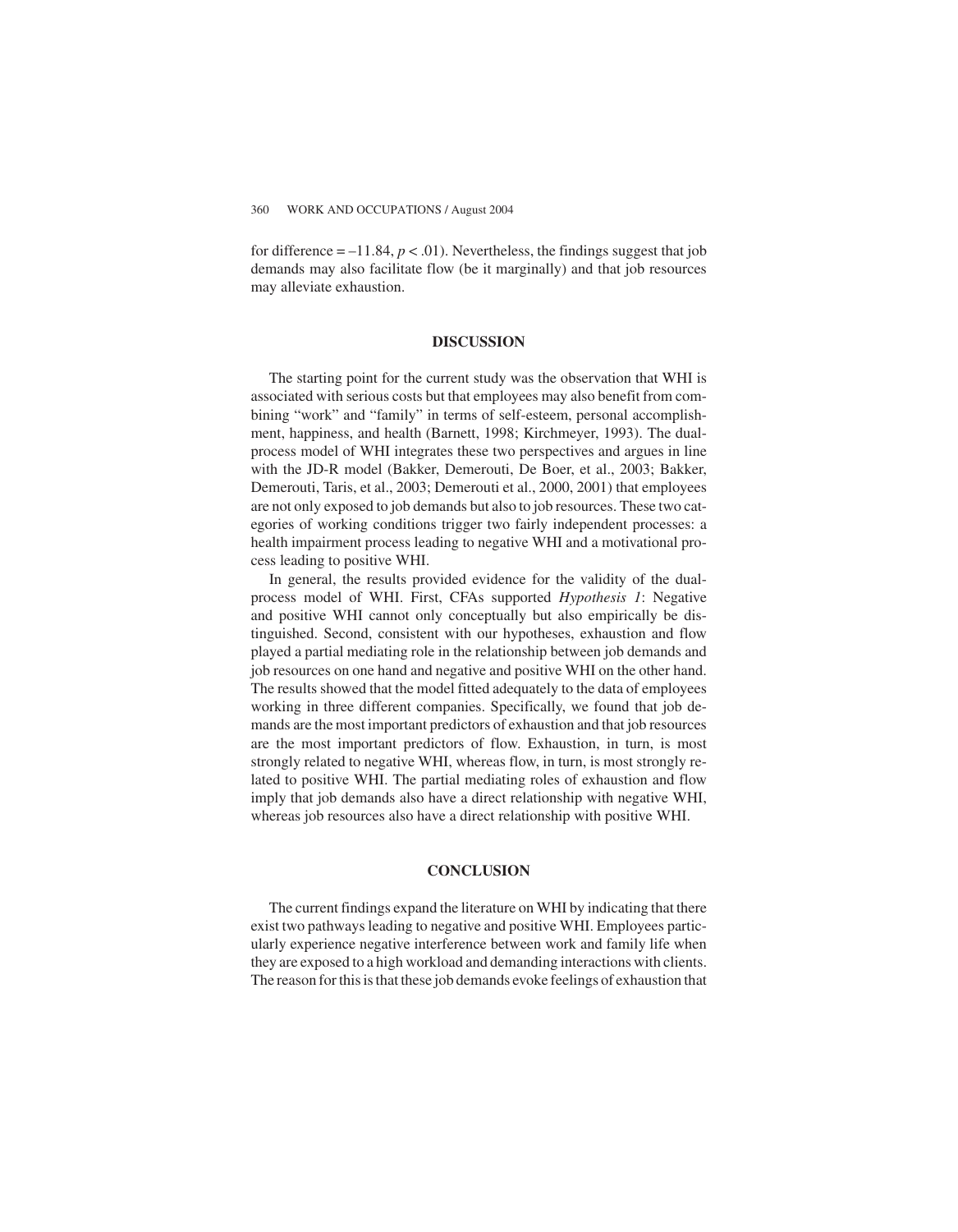for difference  $= -11.84$ ,  $p < .01$ ). Nevertheless, the findings suggest that job demands may also facilitate flow (be it marginally) and that job resources may alleviate exhaustion.

# **DISCUSSION**

The starting point for the current study was the observation that WHI is associated with serious costs but that employees may also benefit from combining "work" and "family" in terms of self-esteem, personal accomplishment, happiness, and health (Barnett, 1998; Kirchmeyer, 1993). The dualprocess model of WHI integrates these two perspectives and argues in line with the JD-R model (Bakker, Demerouti, De Boer, et al., 2003; Bakker, Demerouti, Taris, et al., 2003; Demerouti et al., 2000, 2001) that employees are not only exposed to job demands but also to job resources. These two categories of working conditions trigger two fairly independent processes: a health impairment process leading to negative WHI and a motivational process leading to positive WHI.

In general, the results provided evidence for the validity of the dualprocess model of WHI. First, CFAs supported *Hypothesis 1*: Negative and positive WHI cannot only conceptually but also empirically be distinguished. Second, consistent with our hypotheses, exhaustion and flow played a partial mediating role in the relationship between job demands and job resources on one hand and negative and positive WHI on the other hand. The results showed that the model fitted adequately to the data of employees working in three different companies. Specifically, we found that job demands are the most important predictors of exhaustion and that job resources are the most important predictors of flow. Exhaustion, in turn, is most strongly related to negative WHI, whereas flow, in turn, is most strongly related to positive WHI. The partial mediating roles of exhaustion and flow imply that job demands also have a direct relationship with negative WHI, whereas job resources also have a direct relationship with positive WHI.

# **CONCLUSION**

The current findings expand the literature on WHI by indicating that there exist two pathways leading to negative and positive WHI. Employees particularly experience negative interference between work and family life when they are exposed to a high workload and demanding interactions with clients. The reason for this is that these job demands evoke feelings of exhaustion that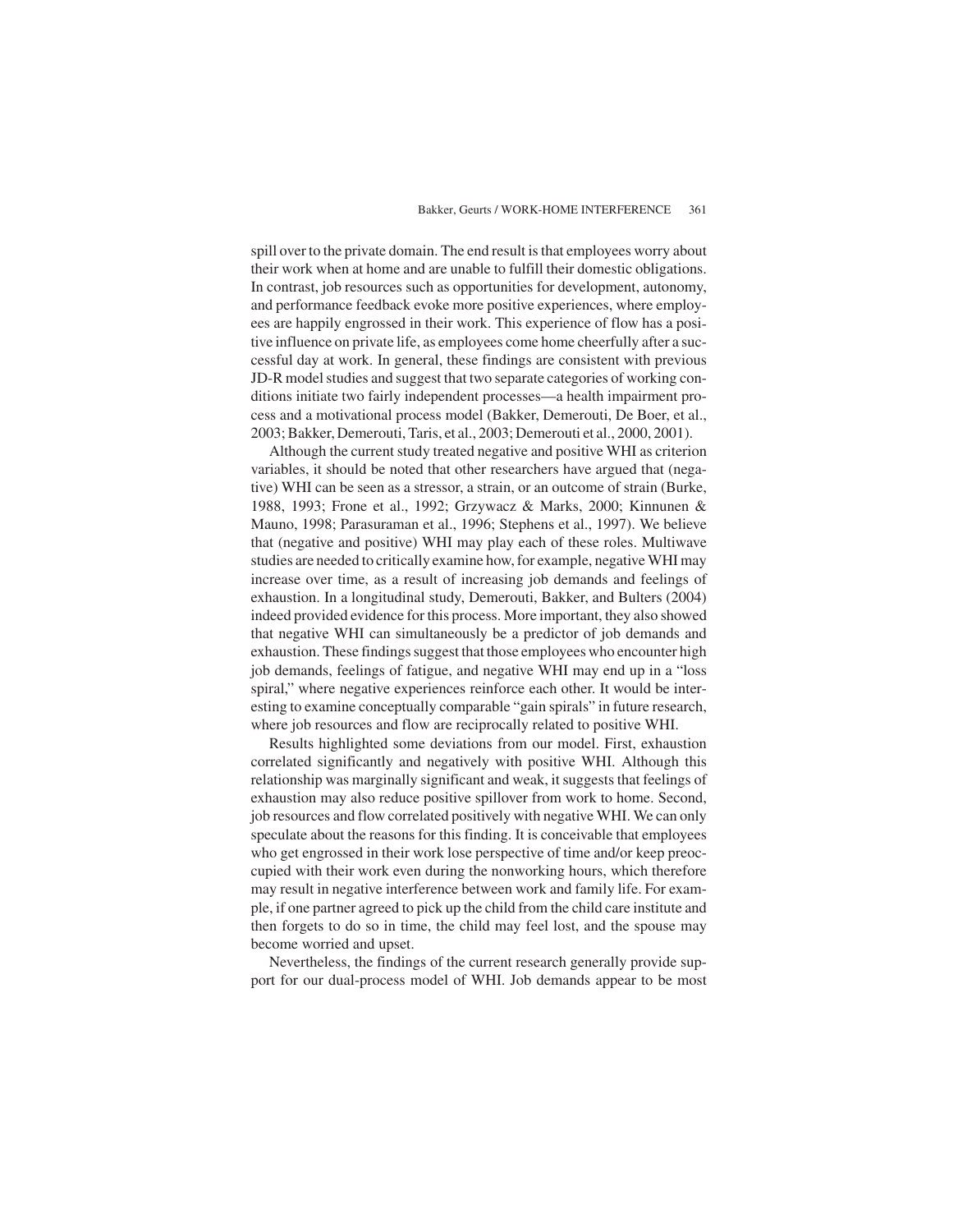spill over to the private domain. The end result is that employees worry about their work when at home and are unable to fulfill their domestic obligations. In contrast, job resources such as opportunities for development, autonomy, and performance feedback evoke more positive experiences, where employees are happily engrossed in their work. This experience of flow has a positive influence on private life, as employees come home cheerfully after a successful day at work. In general, these findings are consistent with previous JD-R model studies and suggest that two separate categories of working conditions initiate two fairly independent processes—a health impairment process and a motivational process model (Bakker, Demerouti, De Boer, et al., 2003; Bakker, Demerouti, Taris, et al., 2003; Demerouti et al., 2000, 2001).

Although the current study treated negative and positive WHI as criterion variables, it should be noted that other researchers have argued that (negative) WHI can be seen as a stressor, a strain, or an outcome of strain (Burke, 1988, 1993; Frone et al., 1992; Grzywacz & Marks, 2000; Kinnunen & Mauno, 1998; Parasuraman et al., 1996; Stephens et al., 1997). We believe that (negative and positive) WHI may play each of these roles. Multiwave studies are needed to critically examine how, for example, negative WHI may increase over time, as a result of increasing job demands and feelings of exhaustion. In a longitudinal study, Demerouti, Bakker, and Bulters (2004) indeed provided evidence for this process. More important, they also showed that negative WHI can simultaneously be a predictor of job demands and exhaustion. These findings suggest that those employees who encounter high job demands, feelings of fatigue, and negative WHI may end up in a "loss spiral," where negative experiences reinforce each other. It would be interesting to examine conceptually comparable "gain spirals" in future research, where job resources and flow are reciprocally related to positive WHI.

Results highlighted some deviations from our model. First, exhaustion correlated significantly and negatively with positive WHI. Although this relationship was marginally significant and weak, it suggests that feelings of exhaustion may also reduce positive spillover from work to home. Second, job resources and flow correlated positively with negative WHI. We can only speculate about the reasons for this finding. It is conceivable that employees who get engrossed in their work lose perspective of time and/or keep preoccupied with their work even during the nonworking hours, which therefore may result in negative interference between work and family life. For example, if one partner agreed to pick up the child from the child care institute and then forgets to do so in time, the child may feel lost, and the spouse may become worried and upset.

Nevertheless, the findings of the current research generally provide support for our dual-process model of WHI. Job demands appear to be most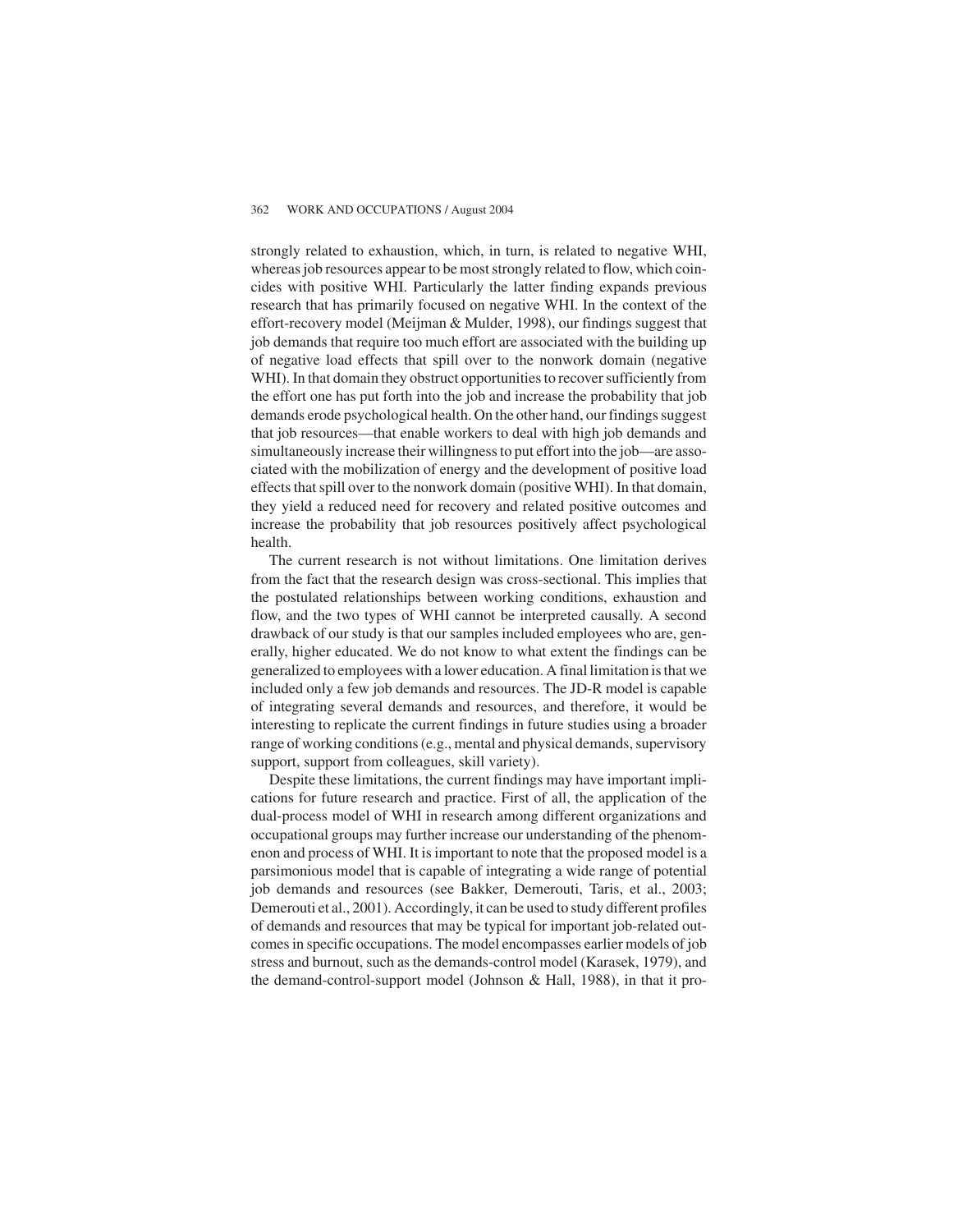strongly related to exhaustion, which, in turn, is related to negative WHI, whereas job resources appear to be most strongly related to flow, which coincides with positive WHI. Particularly the latter finding expands previous research that has primarily focused on negative WHI. In the context of the effort-recovery model (Meijman & Mulder, 1998), our findings suggest that job demands that require too much effort are associated with the building up of negative load effects that spill over to the nonwork domain (negative WHI). In that domain they obstruct opportunities to recover sufficiently from the effort one has put forth into the job and increase the probability that job demands erode psychological health. On the other hand, our findings suggest that job resources—that enable workers to deal with high job demands and simultaneously increase their willingness to put effort into the job—are associated with the mobilization of energy and the development of positive load effects that spill over to the nonwork domain (positive WHI). In that domain, they yield a reduced need for recovery and related positive outcomes and increase the probability that job resources positively affect psychological health.

The current research is not without limitations. One limitation derives from the fact that the research design was cross-sectional. This implies that the postulated relationships between working conditions, exhaustion and flow, and the two types of WHI cannot be interpreted causally. A second drawback of our study is that our samples included employees who are, generally, higher educated. We do not know to what extent the findings can be generalized to employees with a lower education. A final limitation is that we included only a few job demands and resources. The JD-R model is capable of integrating several demands and resources, and therefore, it would be interesting to replicate the current findings in future studies using a broader range of working conditions (e.g., mental and physical demands, supervisory support, support from colleagues, skill variety).

Despite these limitations, the current findings may have important implications for future research and practice. First of all, the application of the dual-process model of WHI in research among different organizations and occupational groups may further increase our understanding of the phenomenon and process of WHI. It is important to note that the proposed model is a parsimonious model that is capable of integrating a wide range of potential job demands and resources (see Bakker, Demerouti, Taris, et al., 2003; Demerouti et al., 2001). Accordingly, it can be used to study different profiles of demands and resources that may be typical for important job-related outcomes in specific occupations. The model encompasses earlier models of job stress and burnout, such as the demands-control model (Karasek, 1979), and the demand-control-support model (Johnson & Hall, 1988), in that it pro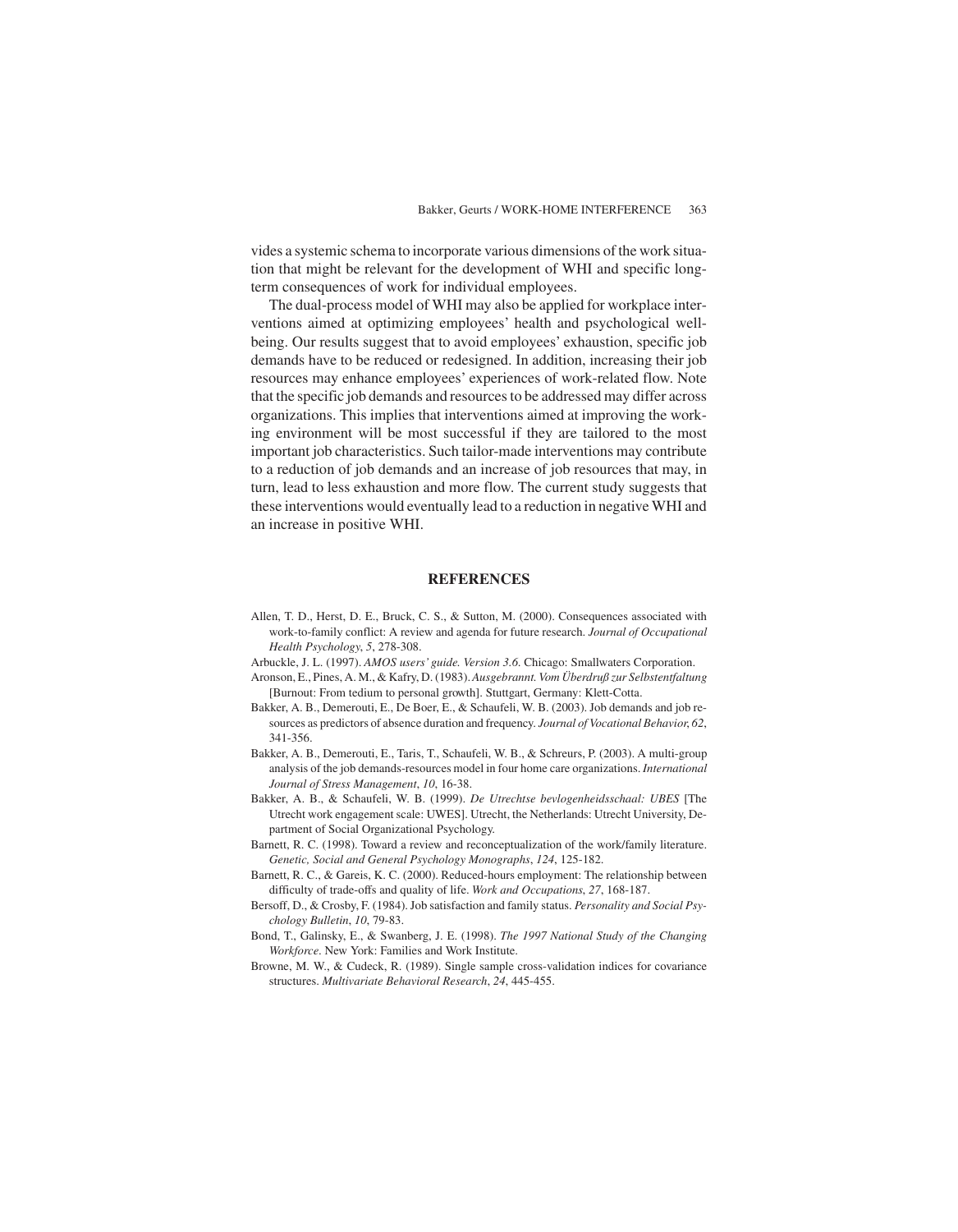vides a systemic schema to incorporate various dimensions of the work situation that might be relevant for the development of WHI and specific longterm consequences of work for individual employees.

The dual-process model of WHI may also be applied for workplace interventions aimed at optimizing employees' health and psychological wellbeing. Our results suggest that to avoid employees' exhaustion, specific job demands have to be reduced or redesigned. In addition, increasing their job resources may enhance employees' experiences of work-related flow. Note that the specific job demands and resources to be addressed may differ across organizations. This implies that interventions aimed at improving the working environment will be most successful if they are tailored to the most important job characteristics. Such tailor-made interventions may contribute to a reduction of job demands and an increase of job resources that may, in turn, lead to less exhaustion and more flow. The current study suggests that these interventions would eventually lead to a reduction in negative WHI and an increase in positive WHI.

#### **REFERENCES**

- Allen, T. D., Herst, D. E., Bruck, C. S., & Sutton, M. (2000). Consequences associated with work-to-family conflict: A review and agenda for future research. *Journal of Occupational Health Psychology*, *5*, 278-308.
- Arbuckle, J. L. (1997). *AMOS users' guide. Version 3.6*. Chicago: Smallwaters Corporation.
- Aronson, E., Pines, A. M., & Kafry, D. (1983).*Ausgebrannt. Vom Überdruß zur Selbstentfaltung* [Burnout: From tedium to personal growth]. Stuttgart, Germany: Klett-Cotta.
- Bakker, A. B., Demerouti, E., De Boer, E., & Schaufeli, W. B. (2003). Job demands and job resources as predictors of absence duration and frequency. *Journal of Vocational Behavior*, *62*, 341-356.
- Bakker, A. B., Demerouti, E., Taris, T., Schaufeli, W. B., & Schreurs, P. (2003). A multi-group analysis of the job demands-resources model in four home care organizations. *International Journal of Stress Management*, *10*, 16-38.
- Bakker, A. B., & Schaufeli, W. B. (1999). *De Utrechtse bevlogenheidsschaal: UBES* [The Utrecht work engagement scale: UWES]. Utrecht, the Netherlands: Utrecht University, Department of Social Organizational Psychology.
- Barnett, R. C. (1998). Toward a review and reconceptualization of the work/family literature. *Genetic, Social and General Psychology Monographs*, *124*, 125-182.
- Barnett, R. C., & Gareis, K. C. (2000). Reduced-hours employment: The relationship between difficulty of trade-offs and quality of life. *Work and Occupations*, *27*, 168-187.
- Bersoff, D., & Crosby, F. (1984). Job satisfaction and family status. *Personality and Social Psychology Bulletin*, *10*, 79-83.
- Bond, T., Galinsky, E., & Swanberg, J. E. (1998). *The 1997 National Study of the Changing Workforce*. New York: Families and Work Institute.
- Browne, M. W., & Cudeck, R. (1989). Single sample cross-validation indices for covariance structures. *Multivariate Behavioral Research*, *24*, 445-455.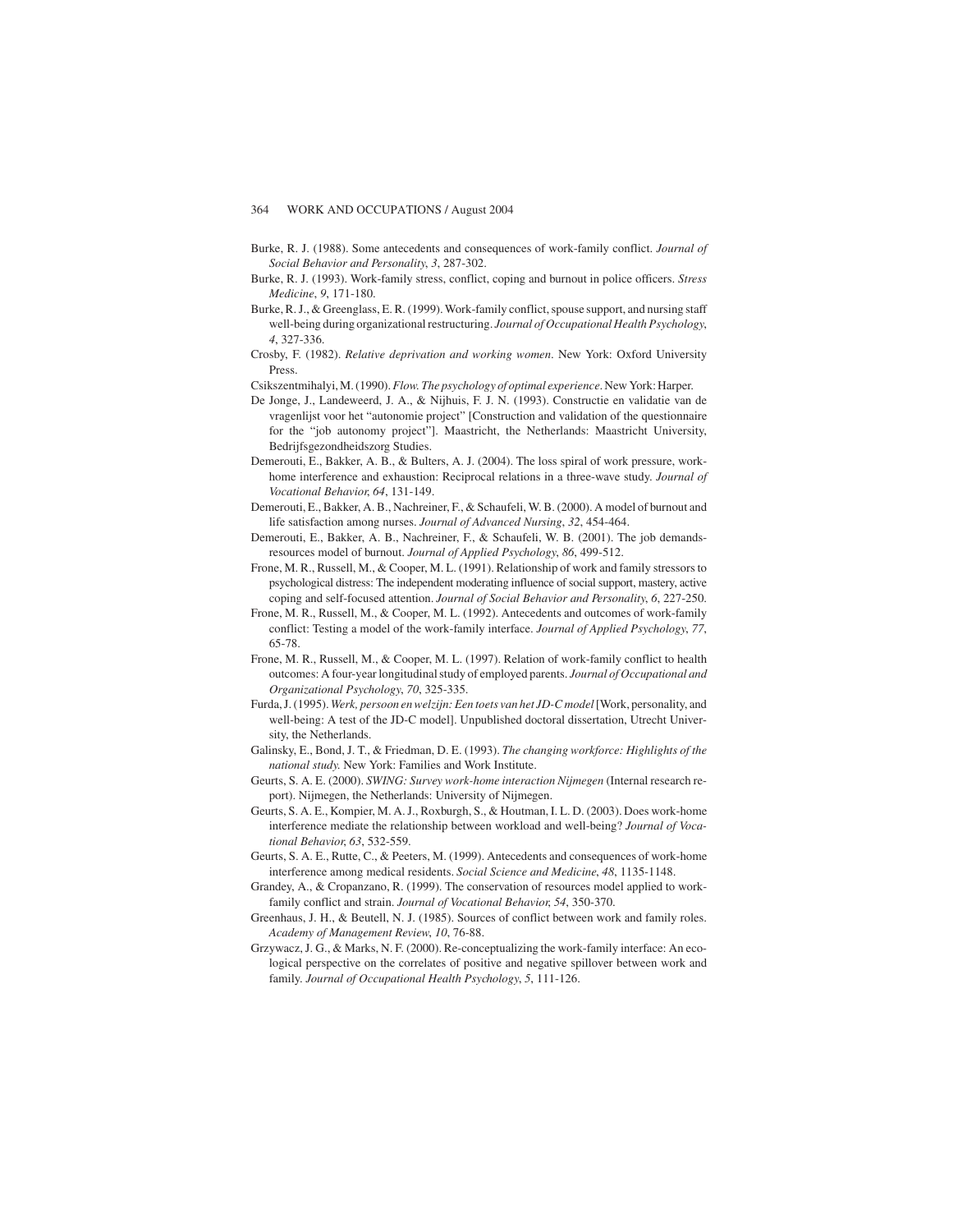- Burke, R. J. (1988). Some antecedents and consequences of work-family conflict. *Journal of Social Behavior and Personality*, *3*, 287-302.
- Burke, R. J. (1993). Work-family stress, conflict, coping and burnout in police officers. *Stress Medicine*, *9*, 171-180.
- Burke, R. J., & Greenglass, E. R. (1999). Work-family conflict, spouse support, and nursing staff well-being during organizational restructuring. *Journal of Occupational Health Psychology*, *4*, 327-336.
- Crosby, F. (1982). *Relative deprivation and working women*. New York: Oxford University Press.
- Csikszentmihalyi, M. (1990).*Flow. The psychology of optimal experience*. New York: Harper.
- De Jonge, J., Landeweerd, J. A., & Nijhuis, F. J. N. (1993). Constructie en validatie van de vragenlijst voor het "autonomie project" [Construction and validation of the questionnaire for the "job autonomy project"]. Maastricht, the Netherlands: Maastricht University, Bedrijfsgezondheidszorg Studies.
- Demerouti, E., Bakker, A. B., & Bulters, A. J. (2004). The loss spiral of work pressure, workhome interference and exhaustion: Reciprocal relations in a three-wave study. *Journal of Vocational Behavior*, *64*, 131-149.
- Demerouti, E., Bakker, A. B., Nachreiner, F., & Schaufeli, W. B. (2000). A model of burnout and life satisfaction among nurses. *Journal of Advanced Nursing*, *32*, 454-464.
- Demerouti, E., Bakker, A. B., Nachreiner, F., & Schaufeli, W. B. (2001). The job demandsresources model of burnout. *Journal of Applied Psychology*, *86*, 499-512.
- Frone, M. R., Russell, M., & Cooper, M. L. (1991). Relationship of work and family stressors to psychological distress: The independent moderating influence of social support, mastery, active coping and self-focused attention. *Journal of Social Behavior and Personality*, *6*, 227-250.
- Frone, M. R., Russell, M., & Cooper, M. L. (1992). Antecedents and outcomes of work-family conflict: Testing a model of the work-family interface. *Journal of Applied Psychology*, *77*, 65-78.
- Frone, M. R., Russell, M., & Cooper, M. L. (1997). Relation of work-family conflict to health outcomes: A four-year longitudinal study of employed parents. *Journal of Occupational and Organizational Psychology*, *70*, 325-335.
- Furda, J. (1995).*Werk, persoon en welzijn: Een toets van het JD-C model*[Work, personality, and well-being: A test of the JD-C model]. Unpublished doctoral dissertation, Utrecht University, the Netherlands.
- Galinsky, E., Bond, J. T., & Friedman, D. E. (1993). *The changing workforce: Highlights of the national study*. New York: Families and Work Institute.
- Geurts, S. A. E. (2000). *SWING: Survey work-home interaction Nijmegen* (Internal research report). Nijmegen, the Netherlands: University of Nijmegen.
- Geurts, S. A. E., Kompier, M. A. J., Roxburgh, S., & Houtman, I. L. D. (2003). Does work-home interference mediate the relationship between workload and well-being? *Journal of Vocational Behavior*, *63*, 532-559.
- Geurts, S. A. E., Rutte, C., & Peeters, M. (1999). Antecedents and consequences of work-home interference among medical residents. *Social Science and Medicine*, *48*, 1135-1148.
- Grandey, A., & Cropanzano, R. (1999). The conservation of resources model applied to workfamily conflict and strain. *Journal of Vocational Behavior*, *54*, 350-370.
- Greenhaus, J. H., & Beutell, N. J. (1985). Sources of conflict between work and family roles. *Academy of Management Review*, *10*, 76-88.
- Grzywacz, J. G., & Marks, N. F. (2000). Re-conceptualizing the work-family interface: An ecological perspective on the correlates of positive and negative spillover between work and family. *Journal of Occupational Health Psychology*, *5*, 111-126.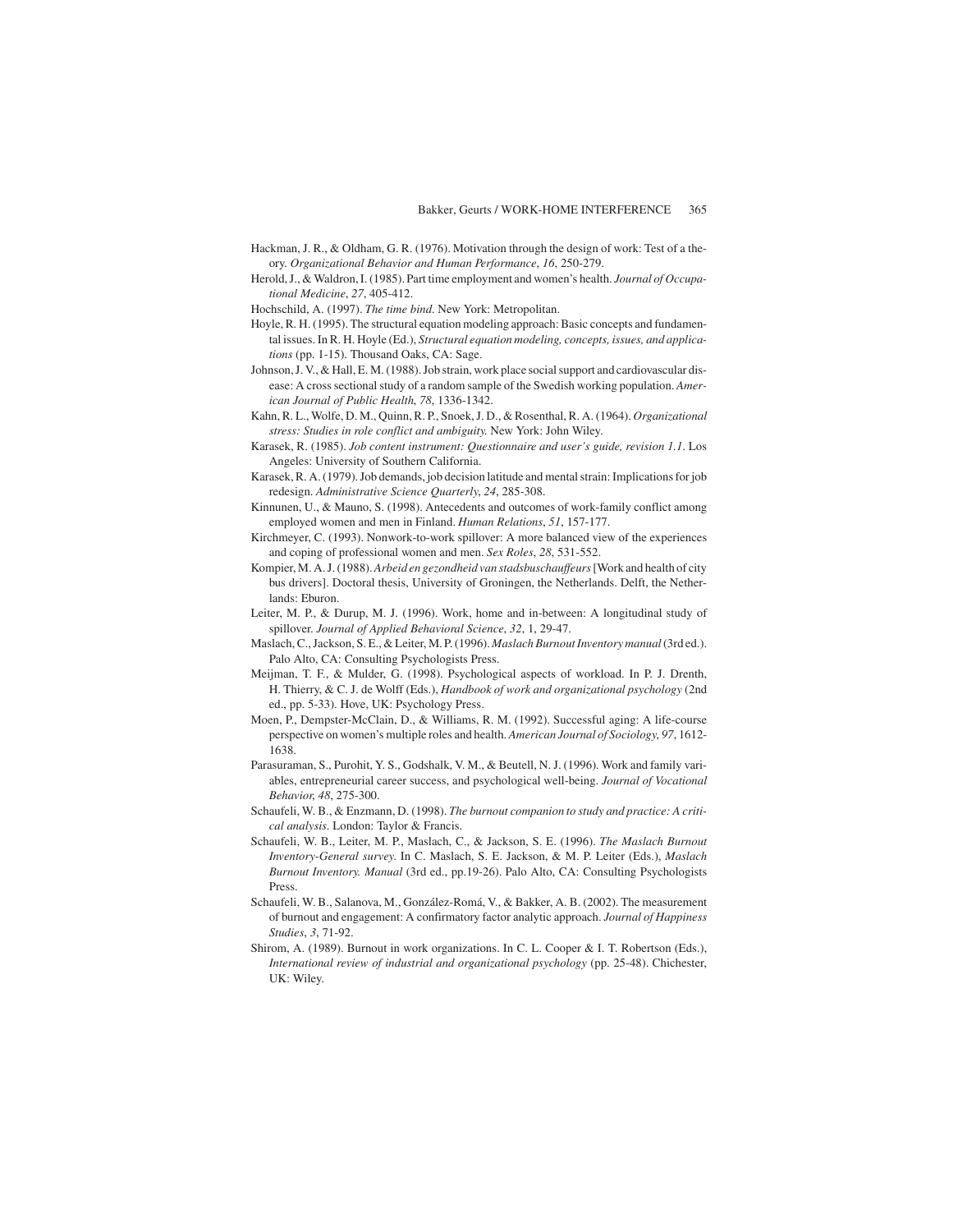- Hackman, J. R., & Oldham, G. R. (1976). Motivation through the design of work: Test of a theory. *Organizational Behavior and Human Performance*, *16*, 250-279.
- Herold, J., & Waldron, I. (1985). Part time employment and women's health. *Journal of Occupational Medicine*, *27*, 405-412.

Hochschild, A. (1997). *The time bind*. New York: Metropolitan.

- Hoyle, R. H. (1995). The structural equation modeling approach: Basic concepts and fundamental issues. In R. H. Hoyle (Ed.), *Structural equation modeling, concepts, issues, and applications* (pp. 1-15). Thousand Oaks, CA: Sage.
- Johnson, J. V., & Hall, E. M. (1988). Job strain, work place social support and cardiovascular disease: A cross sectional study of a random sample of the Swedish working population. *American Journal of Public Health*, *78*, 1336-1342.
- Kahn, R. L., Wolfe, D. M., Quinn, R. P., Snoek, J. D., & Rosenthal, R. A. (1964). *Organizational stress: Studies in role conflict and ambiguity*. New York: John Wiley.
- Karasek, R. (1985). *Job content instrument: Questionnaire and user's guide, revision 1.1*. Los Angeles: University of Southern California.
- Karasek, R. A. (1979). Job demands, job decision latitude and mental strain: Implications for job redesign. *Administrative Science Quarterly*, *24*, 285-308.
- Kinnunen, U., & Mauno, S. (1998). Antecedents and outcomes of work-family conflict among employed women and men in Finland. *Human Relations*, *51*, 157-177.
- Kirchmeyer, C. (1993). Nonwork-to-work spillover: A more balanced view of the experiences and coping of professional women and men. *Sex Roles*, *28*, 531-552.
- Kompier, M. A. J. (1988).*Arbeid en gezondheid van stadsbuschauffeurs*[Work and health of city bus drivers]. Doctoral thesis, University of Groningen, the Netherlands. Delft, the Netherlands: Eburon.
- Leiter, M. P., & Durup, M. J. (1996). Work, home and in-between: A longitudinal study of spillover. *Journal of Applied Behavioral Science*, *32*, 1, 29-47.
- Maslach, C., Jackson, S. E., & Leiter, M. P. (1996). *Maslach Burnout Inventory manual*(3rd ed.). Palo Alto, CA: Consulting Psychologists Press.
- Meijman, T. F., & Mulder, G. (1998). Psychological aspects of workload. In P. J. Drenth, H. Thierry, & C. J. de Wolff (Eds.), *Handbook of work and organizational psychology* (2nd ed., pp. 5-33). Hove, UK: Psychology Press.
- Moen, P., Dempster-McClain, D., & Williams, R. M. (1992). Successful aging: A life-course perspective on women's multiple roles and health. *American Journal of Sociology*, *97*, 1612- 1638.
- Parasuraman, S., Purohit, Y. S., Godshalk, V. M., & Beutell, N. J. (1996). Work and family variables, entrepreneurial career success, and psychological well-being. *Journal of Vocational Behavior*, *48*, 275-300.
- Schaufeli, W. B., & Enzmann, D. (1998). *The burnout companion to study and practice: A critical analysis*. London: Taylor & Francis.
- Schaufeli, W. B., Leiter, M. P., Maslach, C., & Jackson, S. E. (1996). *The Maslach Burnout Inventory-General survey*. In C. Maslach, S. E. Jackson, & M. P. Leiter (Eds.), *Maslach Burnout Inventory. Manual* (3rd ed., pp.19-26). Palo Alto, CA: Consulting Psychologists Press.
- Schaufeli, W. B., Salanova, M., González-Romá, V., & Bakker, A. B. (2002). The measurement of burnout and engagement: A confirmatory factor analytic approach. *Journal of Happiness Studies*, *3*, 71-92.
- Shirom, A. (1989). Burnout in work organizations. In C. L. Cooper & I. T. Robertson (Eds.), *International review of industrial and organizational psychology* (pp. 25-48). Chichester, UK: Wiley.